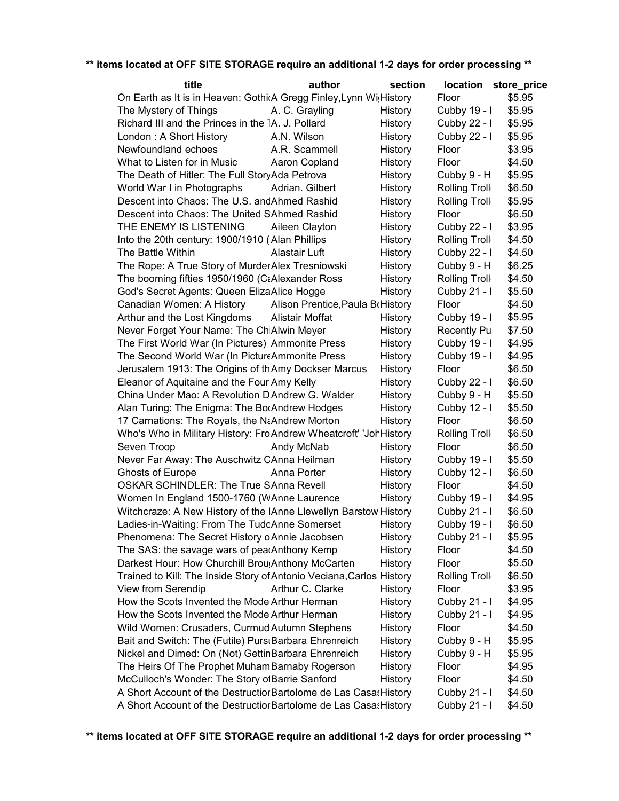| title                                                                | author                           | section |                      | location store_price |
|----------------------------------------------------------------------|----------------------------------|---------|----------------------|----------------------|
| On Earth as It is in Heaven: GothicA Gregg Finley, Lynn WitHistory   |                                  |         | Floor                | \$5.95               |
| The Mystery of Things                                                | A. C. Grayling                   | History | Cubby 19 - I         | \$5.95               |
| Richard III and the Princes in the TA. J. Pollard                    |                                  | History | Cubby 22 - I         | \$5.95               |
| London: A Short History                                              | A.N. Wilson                      | History | Cubby 22 - I         | \$5.95               |
| Newfoundland echoes                                                  | A.R. Scammell                    | History | Floor                | \$3.95               |
| What to Listen for in Music                                          | Aaron Copland                    | History | Floor                | \$4.50               |
| The Death of Hitler: The Full StoryAda Petrova                       |                                  | History | Cubby 9 - H          | \$5.95               |
| World War I in Photographs                                           | Adrian. Gilbert                  | History | <b>Rolling Troll</b> | \$6.50               |
| Descent into Chaos: The U.S. and Ahmed Rashid                        |                                  | History | <b>Rolling Troll</b> | \$5.95               |
| Descent into Chaos: The United SAhmed Rashid                         |                                  | History | Floor                | \$6.50               |
| THE ENEMY IS LISTENING                                               | Aileen Clayton                   | History | Cubby 22 - I         | \$3.95               |
| Into the 20th century: 1900/1910 (Alan Phillips                      |                                  | History | <b>Rolling Troll</b> | \$4.50               |
| The Battle Within                                                    | Alastair Luft                    | History | Cubby 22 - I         | \$4.50               |
| The Rope: A True Story of MurderAlex Tresniowski                     |                                  | History | Cubby 9 - H          | \$6.25               |
| The booming fifties 1950/1960 (CaAlexander Ross                      |                                  | History | <b>Rolling Troll</b> | \$4.50               |
| God's Secret Agents: Queen ElizaAlice Hogge                          |                                  | History | Cubby 21 - I         | \$5.50               |
| Canadian Women: A History                                            | Alison Prentice, Paula B History |         | Floor                | \$4.50               |
| Arthur and the Lost Kingdoms                                         | Alistair Moffat                  | History | Cubby 19 - I         | \$5.95               |
| Never Forget Your Name: The ChiAlwin Meyer                           |                                  | History | <b>Recently Pu</b>   | \$7.50               |
| The First World War (In Pictures) Ammonite Press                     |                                  | History | Cubby 19 - I         | \$4.95               |
| The Second World War (In PictureAmmonite Press                       |                                  | History | Cubby 19 - I         | \$4.95               |
| Jerusalem 1913: The Origins of thAmy Dockser Marcus                  |                                  | History | Floor                | \$6.50               |
| Eleanor of Aquitaine and the Four Amy Kelly                          |                                  | History | Cubby 22 - I         | \$6.50               |
| China Under Mao: A Revolution D Andrew G. Walder                     |                                  | History | Cubby 9 - H          | \$5.50               |
| Alan Turing: The Enigma: The BorAndrew Hodges                        |                                  | History | Cubby 12 - I         | \$5.50               |
| 17 Carnations: The Royals, the NaAndrew Morton                       |                                  | History | Floor                | \$6.50               |
| Who's Who in Military History: Fro Andrew Wheatcroft' 'Joh History   |                                  |         | <b>Rolling Troll</b> | \$6.50               |
| Seven Troop                                                          | Andy McNab                       | History | Floor                | \$6.50               |
| Never Far Away: The Auschwitz CAnna Heilman                          |                                  | History | Cubby 19 - I         | \$5.50               |
| Ghosts of Europe                                                     | Anna Porter                      | History | Cubby 12 - I         | \$6.50               |
| <b>OSKAR SCHINDLER: The True SAnna Revell</b>                        |                                  | History | Floor                | \$4.50               |
| Women In England 1500-1760 (WAnne Laurence                           |                                  | History | Cubby 19 - I         | \$4.95               |
| Witchcraze: A New History of the IAnne Llewellyn Barstow History     |                                  |         | Cubby 21 - I         | \$6.50               |
| Ladies-in-Waiting: From The TudcAnne Somerset                        |                                  | History | Cubby 19 - I         | \$6.50               |
| Phenomena: The Secret History o Annie Jacobsen                       |                                  | History | Cubby 21 - I         | \$5.95               |
| The SAS: the savage wars of pearAnthony Kemp                         |                                  | History | Floor                | \$4.50               |
| Darkest Hour: How Churchill Brou <sub>!</sub> Anthony McCarten       |                                  | History | Floor                | \$5.50               |
| Trained to Kill: The Inside Story of Antonio Veciana, Carlos History |                                  |         | <b>Rolling Troll</b> | \$6.50               |
| View from Serendip                                                   | Arthur C. Clarke                 | History | Floor                | \$3.95               |
| How the Scots Invented the Mode Arthur Herman                        |                                  | History | Cubby 21 - I         | \$4.95               |
| How the Scots Invented the Mode Arthur Herman                        |                                  | History | Cubby 21 - I         | \$4.95               |
| Wild Women: Crusaders, Curmud Autumn Stephens                        |                                  | History | Floor                | \$4.50               |
| Bait and Switch: The (Futile) PursiBarbara Ehrenreich                |                                  | History | Cubby 9 - H          | \$5.95               |
| Nickel and Dimed: On (Not) GettinBarbara Ehrenreich                  |                                  | History | Cubby 9 - H          | \$5.95               |
| The Heirs Of The Prophet Muham Barnaby Rogerson                      |                                  | History | Floor                | \$4.95               |
| McCulloch's Wonder: The Story of Barrie Sanford                      |                                  | History | Floor                | \$4.50               |
| A Short Account of the Destructior Bartolome de Las Casas History    |                                  |         | Cubby 21 - I         | \$4.50               |
| A Short Account of the Destructior Bartolome de Las Casas History    |                                  |         | Cubby 21 - I         | \$4.50               |
|                                                                      |                                  |         |                      |                      |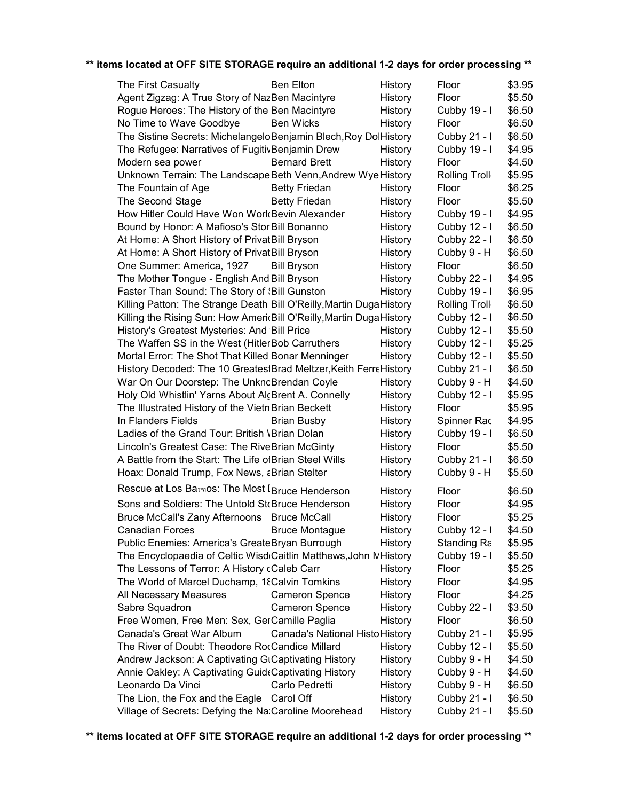| The First Casualty                                                   | <b>Ben Elton</b>                | History | Floor                | \$3.95 |
|----------------------------------------------------------------------|---------------------------------|---------|----------------------|--------|
| Agent Zigzag: A True Story of NazBen Macintyre                       |                                 | History | Floor                | \$5.50 |
| Rogue Heroes: The History of the Ben Macintyre                       |                                 | History | Cubby 19 - I         | \$6.50 |
| No Time to Wave Goodbye                                              | <b>Ben Wicks</b>                | History | Floor                | \$6.50 |
| The Sistine Secrets: MichelangeloBenjamin Blech, Roy DolHistory      |                                 |         | Cubby 21 - I         | \$6.50 |
| The Refugee: Narratives of FugitivBenjamin Drew                      |                                 | History | Cubby 19 - I         | \$4.95 |
| Modern sea power                                                     | <b>Bernard Brett</b>            | History | Floor                | \$4.50 |
| Unknown Terrain: The Landscape Beth Venn, Andrew Wye History         |                                 |         | <b>Rolling Troll</b> | \$5.95 |
| The Fountain of Age                                                  | <b>Betty Friedan</b>            | History | Floor                | \$6.25 |
| The Second Stage                                                     | <b>Betty Friedan</b>            | History | Floor                | \$5.50 |
| How Hitler Could Have Won Work Bevin Alexander                       |                                 | History | Cubby 19 - I         | \$4.95 |
| Bound by Honor: A Mafioso's Stor Bill Bonanno                        |                                 | History | Cubby 12 - I         | \$6.50 |
| At Home: A Short History of PrivatBill Bryson                        |                                 | History | Cubby 22 - I         | \$6.50 |
| At Home: A Short History of PrivatBill Bryson                        |                                 | History | Cubby 9 - H          | \$6.50 |
| One Summer: America, 1927                                            | <b>Bill Bryson</b>              | History | Floor                | \$6.50 |
| The Mother Tongue - English And Bill Bryson                          |                                 | History | Cubby 22 - I         | \$4.95 |
| Faster Than Sound: The Story of 'Bill Gunston                        |                                 | History | Cubby 19 - I         | \$6.95 |
| Killing Patton: The Strange Death Bill O'Reilly, Martin Duga History |                                 |         | Rolling Troll        | \$6.50 |
| Killing the Rising Sun: How AmericBill O'Reilly, Martin Duga History |                                 |         | Cubby 12 - I         | \$6.50 |
| History's Greatest Mysteries: And Bill Price                         |                                 | History | Cubby 12 - I         | \$5.50 |
| The Waffen SS in the West (HitlerBob Carruthers                      |                                 | History | Cubby 12 - I         | \$5.25 |
| Mortal Error: The Shot That Killed Bonar Menninger                   |                                 | History | Cubby 12 - I         | \$5.50 |
| History Decoded: The 10 GreatestBrad Meltzer, Keith FerreHistory     |                                 |         | Cubby 21 - I         | \$6.50 |
| War On Our Doorstep: The UnkncBrendan Coyle                          |                                 | History | Cubby 9 - H          | \$4.50 |
| Holy Old Whistlin' Yarns About AlcBrent A. Connelly                  |                                 | History | Cubby 12 - I         | \$5.95 |
| The Illustrated History of the Vietn Brian Beckett                   |                                 | History | Floor                | \$5.95 |
| In Flanders Fields                                                   | <b>Brian Busby</b>              | History | Spinner Rac          | \$4.95 |
| Ladies of the Grand Tour: British VBrian Dolan                       |                                 | History | Cubby 19 - I         | \$6.50 |
| Lincoln's Greatest Case: The RiveBrian McGinty                       |                                 | History | Floor                | \$5.50 |
| A Battle from the Start: The Life of Brian Steel Wills               |                                 | History | Cubby 21 - I         | \$6.50 |
| Hoax: Donald Trump, Fox News, aBrian Stelter                         |                                 | History | Cubby 9 - H          | \$5.50 |
| Rescue at Los Basmos: The Most I Bruce Henderson                     |                                 | History | Floor                | \$6.50 |
| Sons and Soldiers: The Untold StcBruce Henderson                     |                                 | History | Floor                | \$4.95 |
| Bruce McCall's Zany Afternoons Bruce McCall                          |                                 | History | Floor                | \$5.25 |
| Canadian Forces <b>Canadian</b>                                      | <b>Bruce Montague</b>           | History | Cubby 12 - I         | \$4.50 |
| Public Enemies: America's GreateBryan Burrough                       |                                 | History | Standing Ra          | \$5.95 |
| The Encyclopaedia of Celtic Wisd Caitlin Matthews, John MHistory     |                                 |         | Cubby 19 - I         | \$5.50 |
| The Lessons of Terror: A History cCaleb Carr                         |                                 | History | Floor                | \$5.25 |
| The World of Marcel Duchamp, 18 Calvin Tomkins                       |                                 | History | Floor                | \$4.95 |
| All Necessary Measures                                               | <b>Cameron Spence</b>           | History | Floor                | \$4.25 |
| Sabre Squadron                                                       | <b>Cameron Spence</b>           | History | Cubby 22 - I         | \$3.50 |
| Free Women, Free Men: Sex, GerCamille Paglia                         |                                 | History | Floor                | \$6.50 |
| Canada's Great War Album                                             | Canada's National Histo History |         | Cubby 21 - I         | \$5.95 |
| The River of Doubt: Theodore RocCandice Millard                      |                                 | History | Cubby 12 - I         | \$5.50 |
| Andrew Jackson: A Captivating GtCaptivating History                  |                                 | History | Cubby 9 - H          | \$4.50 |
| Annie Oakley: A Captivating Guid (Captivating History                |                                 | History | Cubby 9 - H          | \$4.50 |
| Leonardo Da Vinci                                                    | Carlo Pedretti                  | History | Cubby 9 - H          | \$6.50 |
| The Lion, the Fox and the Eagle Carol Off                            |                                 | History | Cubby 21 - I         | \$6.50 |
| Village of Secrets: Defying the Na:Caroline Moorehead                |                                 | History | Cubby 21 - I         | \$5.50 |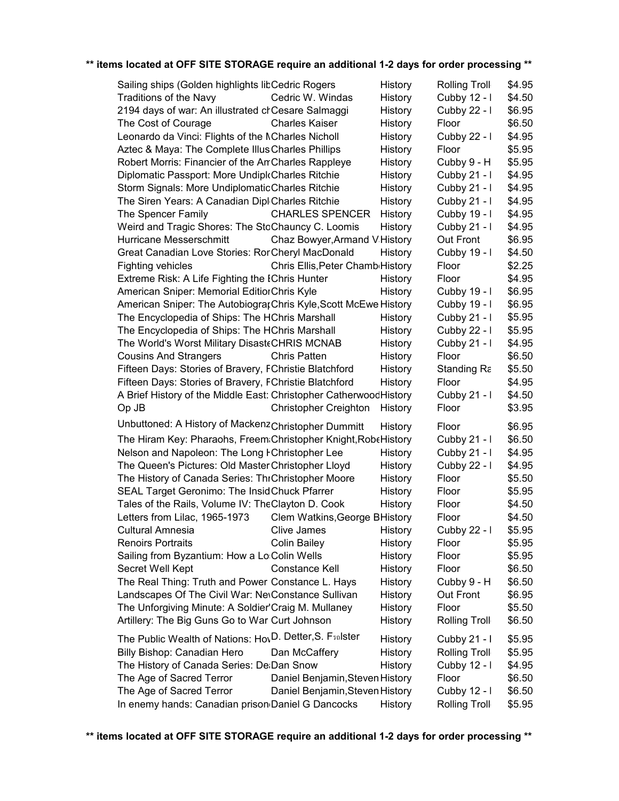| Sailing ships (Golden highlights libCedric Rogers                                                                            |                                  | History | Rolling Troll        | \$4.95 |
|------------------------------------------------------------------------------------------------------------------------------|----------------------------------|---------|----------------------|--------|
| <b>Traditions of the Navy</b>                                                                                                | Cedric W. Windas                 | History | Cubby 12 - I         | \$4.50 |
| 2194 days of war: An illustrated crCesare Salmaggi                                                                           |                                  | History | Cubby 22 - I         | \$6.95 |
| The Cost of Courage                                                                                                          | <b>Charles Kaiser</b>            | History | Floor                | \$6.50 |
| Leonardo da Vinci: Flights of the NCharles Nicholl                                                                           |                                  | History | Cubby 22 - I         | \$4.95 |
| Aztec & Maya: The Complete Illus Charles Phillips                                                                            |                                  | History | Floor                | \$5.95 |
| Robert Morris: Financier of the An Charles Rappleye                                                                          |                                  | History | Cubby 9 - H          | \$5.95 |
| Diplomatic Passport: More UndiploCharles Ritchie                                                                             |                                  | History | Cubby 21 - I         | \$4.95 |
| Storm Signals: More UndiplomaticCharles Ritchie                                                                              |                                  | History | Cubby 21 - I         | \$4.95 |
| The Siren Years: A Canadian Dipl Charles Ritchie                                                                             |                                  | History | Cubby 21 - I         | \$4.95 |
| The Spencer Family                                                                                                           | <b>CHARLES SPENCER</b>           | History | Cubby 19 - I         | \$4.95 |
| Weird and Tragic Shores: The StoChauncy C. Loomis                                                                            |                                  | History | Cubby 21 - I         | \$4.95 |
| Hurricane Messerschmitt                                                                                                      | Chaz Bowyer, Armand V History    |         | Out Front            | \$6.95 |
| Great Canadian Love Stories: RorCheryl MacDonald                                                                             |                                  | History | Cubby 19 - I         | \$4.50 |
| <b>Fighting vehicles</b>                                                                                                     | Chris Ellis, Peter Chamb History |         | Floor                | \$2.25 |
| Extreme Risk: A Life Fighting the IChris Hunter                                                                              |                                  | History | Floor                | \$4.95 |
| American Sniper: Memorial EditiorChris Kyle                                                                                  |                                  | History | Cubby 19 - I         | \$6.95 |
| American Sniper: The Autobiograr Chris Kyle, Scott McEwe History                                                             |                                  |         | Cubby 19 - I         | \$6.95 |
| The Encyclopedia of Ships: The HChris Marshall                                                                               |                                  | History | Cubby 21 - I         | \$5.95 |
| The Encyclopedia of Ships: The HChris Marshall                                                                               |                                  | History | Cubby 22 - I         | \$5.95 |
| The World's Worst Military DisasteCHRIS MCNAB                                                                                |                                  | History | Cubby 21 - I         | \$4.95 |
| <b>Cousins And Strangers</b>                                                                                                 | <b>Chris Patten</b>              | History | Floor                | \$6.50 |
| Fifteen Days: Stories of Bravery, FChristie Blatchford                                                                       |                                  | History | Standing Ra          | \$5.50 |
|                                                                                                                              |                                  |         | Floor                | \$4.95 |
| Fifteen Days: Stories of Bravery, FChristie Blatchford<br>A Brief History of the Middle East: Christopher Catherwood History |                                  | History | Cubby 21 - I         | \$4.50 |
| Op JB                                                                                                                        | <b>Christopher Creighton</b>     | History | Floor                | \$3.95 |
|                                                                                                                              |                                  |         |                      |        |
| Unbuttoned: A History of Mackenz Christopher Dummitt                                                                         |                                  | History | Floor                | \$6.95 |
| The Hiram Key: Pharaohs, Freem:Christopher Knight, RobeHistory                                                               |                                  |         | Cubby 21 - I         | \$6.50 |
| Nelson and Napoleon: The Long FChristopher Lee                                                                               |                                  | History | Cubby 21 - I         | \$4.95 |
| The Queen's Pictures: Old Master Christopher Lloyd                                                                           |                                  | History | Cubby 22 - I         | \$4.95 |
| The History of Canada Series: ThrChristopher Moore                                                                           |                                  | History | Floor                | \$5.50 |
| SEAL Target Geronimo: The Insid Chuck Pfarrer                                                                                |                                  | History | Floor                | \$5.95 |
| Tales of the Rails, Volume IV: TheClayton D. Cook                                                                            |                                  | History | Floor                | \$4.50 |
| Letters from Lilac, 1965-1973                                                                                                | Clem Watkins, George BHistory    |         | Floor                | \$4.50 |
| Cultural Amnesia                                                                                                             | Clive James                      | History | Cubby 22 - I         | \$5.95 |
| <b>Renoirs Portraits</b>                                                                                                     | <b>Colin Bailey</b>              | History | Floor                | \$5.95 |
| Sailing from Byzantium: How a Lo:Colin Wells                                                                                 |                                  | History | Floor                | \$5.95 |
| Secret Well Kept                                                                                                             | Constance Kell                   | History | Floor                | \$6.50 |
| The Real Thing: Truth and Power Constance L. Hays                                                                            |                                  | History | Cubby 9 - H          | \$6.50 |
| Landscapes Of The Civil War: NevConstance Sullivan                                                                           |                                  | History | Out Front            | \$6.95 |
| The Unforgiving Minute: A Soldier'Craig M. Mullaney                                                                          |                                  | History | Floor                | \$5.50 |
| Artillery: The Big Guns Go to War Curt Johnson                                                                               |                                  | History | <b>Rolling Troll</b> | \$6.50 |
| The Public Wealth of Nations: HovD. Detter, S. Fsolster                                                                      |                                  | History | Cubby 21 - I         | \$5.95 |
| Billy Bishop: Canadian Hero                                                                                                  | Dan McCaffery                    | History | Rolling Troll        | \$5.95 |
| The History of Canada Series: De:Dan Snow                                                                                    |                                  | History | Cubby 12 - I         | \$4.95 |
| The Age of Sacred Terror                                                                                                     | Daniel Benjamin, Steven History  |         | Floor                | \$6.50 |
| The Age of Sacred Terror                                                                                                     | Daniel Benjamin, Steven History  |         | Cubby 12 - I         | \$6.50 |
| In enemy hands: Canadian prison Daniel G Dancocks                                                                            |                                  | History | <b>Rolling Troll</b> | \$5.95 |
|                                                                                                                              |                                  |         |                      |        |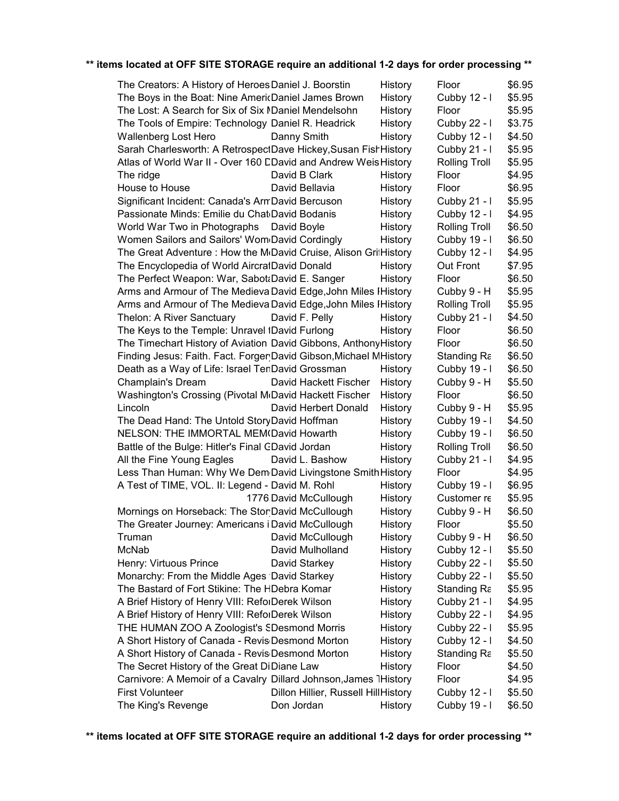| The Creators: A History of Heroes Daniel J. Boorstin                          |                                      | History            | Floor                       | \$6.95 |
|-------------------------------------------------------------------------------|--------------------------------------|--------------------|-----------------------------|--------|
| The Boys in the Boat: Nine AmericDaniel James Brown                           |                                      | History            | Cubby 12 - I                | \$5.95 |
| The Lost: A Search for Six of Six MDaniel Mendelsohn                          |                                      | History            | Floor                       | \$5.95 |
| The Tools of Empire: Technology Daniel R. Headrick                            |                                      | History            | Cubby 22 - I                | \$3.75 |
| Wallenberg Lost Hero                                                          | Danny Smith                          | History            | Cubby 12 - I                | \$4.50 |
| Sarah Charlesworth: A RetrospectDave Hickey, Susan FishHistory                |                                      |                    | Cubby 21 - I                | \$5.95 |
| Atlas of World War II - Over 160 CDavid and Andrew Weis History               |                                      |                    | <b>Rolling Troll</b>        | \$5.95 |
| The ridge                                                                     | David B Clark                        | History            | Floor                       | \$4.95 |
| House to House                                                                | David Bellavia                       | History            | Floor                       | \$6.95 |
| Significant Incident: Canada's ArmDavid Bercuson                              |                                      | History            | Cubby 21 - I                | \$5.95 |
| Passionate Minds: Emilie du Chat David Bodanis                                |                                      | History            | Cubby 12 - I                | \$4.95 |
| World War Two in Photographs David Boyle                                      |                                      | History            | <b>Rolling Troll</b>        | \$6.50 |
| Women Sailors and Sailors' Wom David Cordingly                                |                                      | History            | Cubby 19 - I                | \$6.50 |
| The Great Adventure : How the M <sub>'</sub> David Cruise, Alison GrilHistory |                                      |                    | Cubby 12 - I                | \$4.95 |
| The Encyclopedia of World AircrafDavid Donald                                 |                                      | History            | Out Front                   | \$7.95 |
| The Perfect Weapon: War, SabotaDavid E. Sanger                                |                                      | History            | Floor                       | \$6.50 |
| Arms and Armour of The Medieva David Edge, John Miles I History               |                                      |                    | Cubby 9 - H                 | \$5.95 |
| Arms and Armour of The Medieva David Edge, John Miles I History               |                                      |                    | <b>Rolling Troll</b>        | \$5.95 |
| Thelon: A River Sanctuary                                                     | David F. Pelly                       | History            | Cubby 21 - I                | \$4.50 |
| The Keys to the Temple: Unravel IDavid Furlong                                |                                      | History            | Floor                       | \$6.50 |
| The Timechart History of Aviation David Gibbons, Anthony History              |                                      |                    | Floor                       | \$6.50 |
| Finding Jesus: Faith. Fact. Forger David Gibson, Michael MHistory             |                                      |                    | Standing Ra                 | \$6.50 |
| Death as a Way of Life: Israel TenDavid Grossman                              |                                      | History            | Cubby 19 - I                | \$6.50 |
| Champlain's Dream                                                             | David Hackett Fischer                | History            | Cubby 9 - H                 | \$5.50 |
| Washington's Crossing (Pivotal McDavid Hackett Fischer                        |                                      | History            | Floor                       | \$6.50 |
| Lincoln                                                                       | David Herbert Donald                 | History            | Cubby 9 - H                 | \$5.95 |
| The Dead Hand: The Untold StoryDavid Hoffman                                  |                                      | History            | Cubby 19 - I                | \$4.50 |
| NELSON: THE IMMORTAL MEM(David Howarth                                        |                                      | History            | Cubby 19 - I                | \$6.50 |
| Battle of the Bulge: Hitler's Final CDavid Jordan                             |                                      | History            | <b>Rolling Troll</b>        | \$6.50 |
| All the Fine Young Eagles                                                     | David L. Bashow                      | History            | Cubby 21 - I                | \$4.95 |
| Less Than Human: Why We Dem <sub>'</sub> David Livingstone Smith History      |                                      |                    | Floor                       | \$4.95 |
| A Test of TIME, VOL. II: Legend - David M. Rohl                               |                                      | History            | Cubby 19 - I                | \$6.95 |
|                                                                               | 1776 David McCullough                | History            | Customer re                 | \$5.95 |
| Mornings on Horseback: The Stor David McCullough                              |                                      |                    | Cubby 9 - H                 | \$6.50 |
|                                                                               |                                      | History<br>History | Floor                       | \$5.50 |
| The Greater Journey: Americans i David McCullough<br>Truman                   |                                      |                    |                             | \$6.50 |
| McNab                                                                         | David McCullough<br>David Mulholland | History            | Cubby 9 - H<br>Cubby 12 - I | \$5.50 |
|                                                                               |                                      | History            |                             | \$5.50 |
| Henry: Virtuous Prince                                                        | David Starkey                        | History            | Cubby 22 - I                | \$5.50 |
| Monarchy: From the Middle Ages David Starkey                                  |                                      | History            | Cubby 22 - I                |        |
| The Bastard of Fort Stikine: The HDebra Komar                                 |                                      | History            | Standing Ra                 | \$5.95 |
| A Brief History of Henry VIII: ReforDerek Wilson                              |                                      | History            | Cubby 21 - I                | \$4.95 |
| A Brief History of Henry VIII: ReforDerek Wilson                              |                                      | History            | Cubby 22 - I                | \$4.95 |
| THE HUMAN ZOO A Zoologist's SDesmond Morris                                   |                                      | History            | Cubby 22 - I                | \$5.95 |
| A Short History of Canada - Revis Desmond Morton                              |                                      | History            | Cubby 12 - I                | \$4.50 |
| A Short History of Canada - Revis Desmond Morton                              |                                      | History            | Standing Ra                 | \$5.50 |
| The Secret History of the Great DiDiane Law                                   |                                      | History            | Floor                       | \$4.50 |
| Carnivore: A Memoir of a Cavalry Dillard Johnson, James 1History              |                                      |                    | Floor                       | \$4.95 |
| <b>First Volunteer</b>                                                        | Dillon Hillier, Russell HillHistory  |                    | Cubby 12 - I                | \$5.50 |
| The King's Revenge                                                            | Don Jordan                           | History            | Cubby 19 - I                | \$6.50 |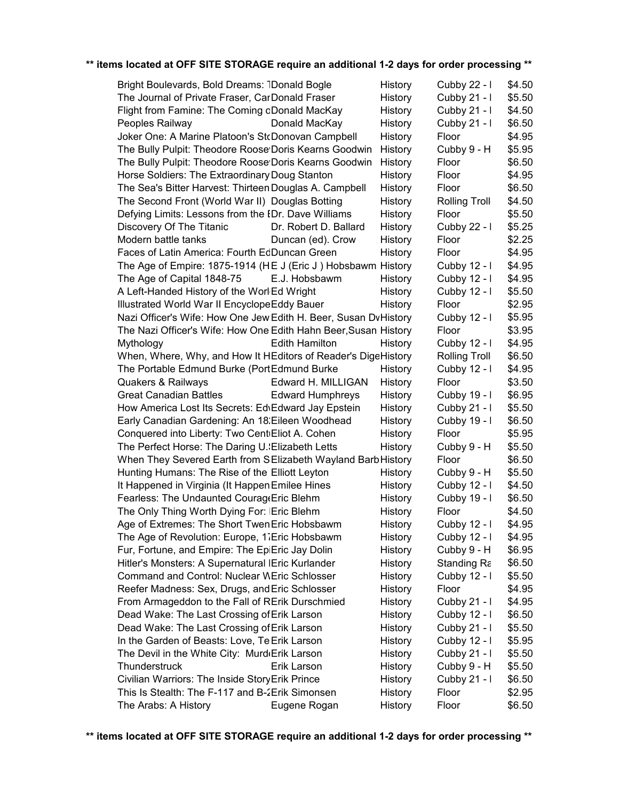| Bright Boulevards, Bold Dreams: 1Donald Bogle                   | History                            | Cubby 22 - I         | \$4.50 |  |
|-----------------------------------------------------------------|------------------------------------|----------------------|--------|--|
| The Journal of Private Fraser, CarDonald Fraser                 | History                            | Cubby 21 - I         | \$5.50 |  |
| Flight from Famine: The Coming oDonald MacKay                   | History                            | Cubby 21 - I         | \$4.50 |  |
| Donald MacKay<br>Peoples Railway                                | History                            | Cubby 21 - I         | \$6.50 |  |
| Joker One: A Marine Platoon's StcDonovan Campbell               | History                            | Floor                | \$4.95 |  |
| The Bully Pulpit: Theodore Roose Doris Kearns Goodwin           | History                            | Cubby 9 - H          | \$5.95 |  |
| The Bully Pulpit: Theodore Roose Doris Kearns Goodwin           | History                            | Floor                | \$6.50 |  |
| Horse Soldiers: The Extraordinary Doug Stanton                  | History                            | Floor                | \$4.95 |  |
| The Sea's Bitter Harvest: Thirteen Douglas A. Campbell          | History                            | Floor                | \$6.50 |  |
| The Second Front (World War II) Douglas Botting                 | History                            | <b>Rolling Troll</b> | \$4.50 |  |
| Defying Limits: Lessons from the EDr. Dave Williams             | History                            | Floor                | \$5.50 |  |
| Discovery Of The Titanic                                        | Dr. Robert D. Ballard<br>History   | Cubby 22 - I         | \$5.25 |  |
| Modern battle tanks                                             | Duncan (ed). Crow<br>History       | Floor                | \$2.25 |  |
| Faces of Latin America: Fourth EdDuncan Green                   | History                            | Floor                | \$4.95 |  |
| The Age of Empire: 1875-1914 (HE J (Eric J) Hobsbawm History    |                                    | Cubby 12 - I         | \$4.95 |  |
| The Age of Capital 1848-75<br>E.J. Hobsbawm                     | History                            | Cubby 12 - I         | \$4.95 |  |
| A Left-Handed History of the Worl Ed Wright                     | History                            | Cubby 12 - I         | \$5.50 |  |
| Illustrated World War II EncyclopeEddy Bauer                    | History                            | Floor                | \$2.95 |  |
| Nazi Officer's Wife: How One JewiEdith H. Beer, Susan DvHistory |                                    | Cubby 12 - I         | \$5.95 |  |
| The Nazi Officer's Wife: How One Edith Hahn Beer, Susan History |                                    | Floor                | \$3.95 |  |
| <b>Edith Hamilton</b><br>Mythology                              | History                            | Cubby 12 - I         | \$4.95 |  |
| When, Where, Why, and How It HEditors of Reader's DigeHistory   |                                    | <b>Rolling Troll</b> | \$6.50 |  |
| The Portable Edmund Burke (PortEdmund Burke                     | History                            | Cubby 12 - I         | \$4.95 |  |
| <b>Quakers &amp; Railways</b>                                   | Edward H. MILLIGAN<br>History      | Floor                | \$3.50 |  |
| <b>Great Canadian Battles</b>                                   | <b>Edward Humphreys</b><br>History | Cubby 19 - I         | \$6.95 |  |
| How America Lost Its Secrets: Ed\Edward Jay Epstein             | History                            | Cubby $21 - 1$       | \$5.50 |  |
| Early Canadian Gardening: An 18: Eileen Woodhead                | History                            | Cubby 19 - I         | \$6.50 |  |
| Conquered into Liberty: Two CentiEliot A. Cohen                 | History                            | Floor                | \$5.95 |  |
| The Perfect Horse: The Daring U. Elizabeth Letts                | History                            | Cubby 9 - H          | \$5.50 |  |
| When They Severed Earth from SElizabeth Wayland Barb History    |                                    | Floor                | \$6.50 |  |
| Hunting Humans: The Rise of the Elliott Leyton                  | History                            | Cubby 9 - H          | \$5.50 |  |
| It Happened in Virginia (It Happen Emilee Hines                 | History                            | Cubby 12 - I         | \$4.50 |  |
| Fearless: The Undaunted CourageEric Blehm                       | History                            | Cubby 19 - I         | \$6.50 |  |
| The Only Thing Worth Dying For: IEric Blehm                     | History                            | Floor                | \$4.50 |  |
| Age of Extremes: The Short Twen Eric Hobsbawm                   | History                            | Cubby 12 - I         | \$4.95 |  |
| The Age of Revolution: Europe, 17Eric Hobsbawm                  | History                            | Cubby 12 - I         | \$4.95 |  |
| Fur, Fortune, and Empire: The EpiEric Jay Dolin                 | History                            | Cubby 9 - H          | \$6.95 |  |
| Hitler's Monsters: A Supernatural IEric Kurlander               | History                            | Standing Ra          | \$6.50 |  |
| <b>Command and Control: Nuclear WEric Schlosser</b>             | History                            | Cubby 12 - I         | \$5.50 |  |
| Reefer Madness: Sex, Drugs, and Eric Schlosser                  | History                            | Floor                | \$4.95 |  |
| From Armageddon to the Fall of RErik Durschmied                 | History                            | Cubby 21 - I         | \$4.95 |  |
| Dead Wake: The Last Crossing of Erik Larson                     | History                            | Cubby 12 - I         | \$6.50 |  |
| Dead Wake: The Last Crossing of Erik Larson                     | History                            | Cubby 21 - I         | \$5.50 |  |
| In the Garden of Beasts: Love, Te Erik Larson                   | History                            | Cubby 12 - I         | \$5.95 |  |
| The Devil in the White City: Murd(Erik Larson                   | History                            | Cubby 21 - I         | \$5.50 |  |
| Thunderstruck<br>Erik Larson                                    | History                            | Cubby 9 - H          | \$5.50 |  |
| Civilian Warriors: The Inside StoryErik Prince                  | History                            | Cubby 21 - I         | \$6.50 |  |
| This Is Stealth: The F-117 and B-2Erik Simonsen                 | History                            | Floor                | \$2.95 |  |
| The Arabs: A History<br>Eugene Rogan                            | History                            | Floor                | \$6.50 |  |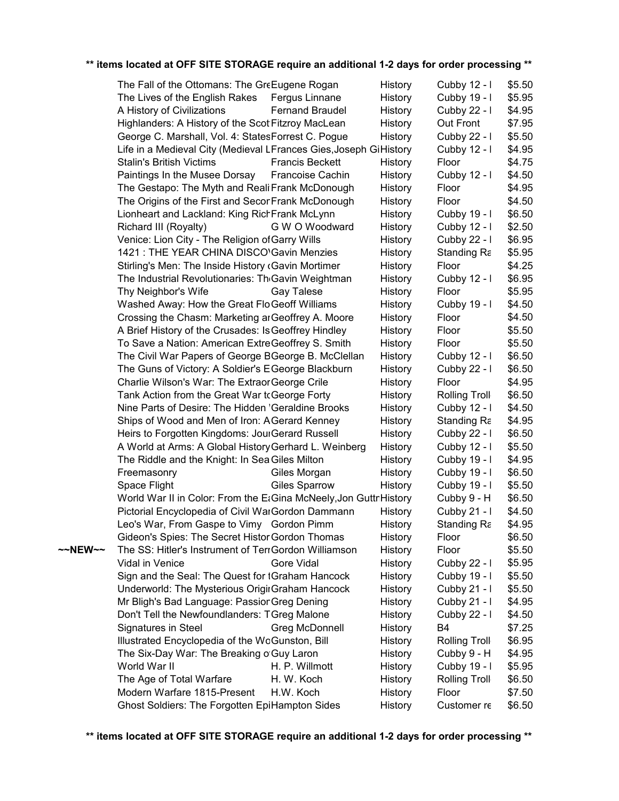|         | The Fall of the Ottomans: The GreEugene Rogan                     |                        | History | Cubby 12 - I         | \$5.50 |
|---------|-------------------------------------------------------------------|------------------------|---------|----------------------|--------|
|         | The Lives of the English Rakes                                    | Fergus Linnane         | History | Cubby 19 - I         | \$5.95 |
|         | A History of Civilizations                                        | <b>Fernand Braudel</b> | History | Cubby 22 - I         | \$4.95 |
|         | Highlanders: A History of the ScotlFitzroy MacLean                |                        | History | Out Front            | \$7.95 |
|         | George C. Marshall, Vol. 4: StatesForrest C. Pogue                |                        | History | Cubby 22 - I         | \$5.50 |
|         | Life in a Medieval City (Medieval LFrances Gies, Joseph GiHistory |                        |         | Cubby 12 - I         | \$4.95 |
|         | <b>Stalin's British Victims</b>                                   | <b>Francis Beckett</b> | History | Floor                | \$4.75 |
|         | Paintings In the Musee Dorsay                                     | Francoise Cachin       | History | Cubby 12 - I         | \$4.50 |
|         | The Gestapo: The Myth and Reali Frank McDonough                   |                        | History | Floor                | \$4.95 |
|         | The Origins of the First and SeconFrank McDonough                 |                        | History | Floor                | \$4.50 |
|         | Lionheart and Lackland: King RichFrank McLynn                     |                        | History | Cubby 19 - I         | \$6.50 |
|         | Richard III (Royalty)                                             | G W O Woodward         | History | Cubby 12 - I         | \$2.50 |
|         | Venice: Lion City - The Religion of Garry Wills                   |                        | History | Cubby 22 - I         | \$6.95 |
|         | 1421 : THE YEAR CHINA DISCO'Gavin Menzies                         |                        | History | Standing Ra          | \$5.95 |
|         | Stirling's Men: The Inside History (Gavin Mortimer                |                        | History | Floor                | \$4.25 |
|         | The Industrial Revolutionaries: Th <sub>'</sub> Gavin Weightman   |                        | History | Cubby 12 - I         | \$6.95 |
|         | Thy Neighbor's Wife                                               | Gay Talese             | History | Floor                | \$5.95 |
|         | Washed Away: How the Great FloGeoff Williams                      |                        | History | Cubby 19 - I         | \$4.50 |
|         | Crossing the Chasm: Marketing ar Geoffrey A. Moore                |                        | History | Floor                | \$4.50 |
|         | A Brief History of the Crusades: Is Geoffrey Hindley              |                        | History | Floor                | \$5.50 |
|         | To Save a Nation: American ExtreGeoffrey S. Smith                 |                        | History | Floor                | \$5.50 |
|         | The Civil War Papers of George BGeorge B. McClellan               |                        | History | Cubby 12 - I         | \$6.50 |
|         | The Guns of Victory: A Soldier's EGeorge Blackburn                |                        | History | Cubby 22 - I         | \$6.50 |
|         | Charlie Wilson's War: The Extraor George Crile                    |                        | History | Floor                | \$4.95 |
|         | Tank Action from the Great War tcGeorge Forty                     |                        | History | <b>Rolling Troll</b> | \$6.50 |
|         | Nine Parts of Desire: The Hidden 'Geraldine Brooks                |                        | History | Cubby 12 - I         | \$4.50 |
|         | Ships of Wood and Men of Iron: A Gerard Kenney                    |                        | History | Standing Ra          | \$4.95 |
|         | Heirs to Forgotten Kingdoms: JourGerard Russell                   |                        | History | Cubby 22 - I         | \$6.50 |
|         | A World at Arms: A Global History Gerhard L. Weinberg             |                        | History | Cubby 12 - I         | \$5.50 |
|         | The Riddle and the Knight: In Sea Giles Milton                    |                        | History | Cubby 19 - I         | \$4.95 |
|         | Freemasonry                                                       | Giles Morgan           | History | Cubby 19 - I         | \$6.50 |
|         | Space Flight                                                      | <b>Giles Sparrow</b>   | History | Cubby 19 - I         | \$5.50 |
|         | World War II in Color: From the EtGina McNeely, Jon Guttr History |                        |         | Cubby 9 - H          | \$6.50 |
|         | Pictorial Encyclopedia of Civil WarGordon Dammann                 |                        | History | Cubby 21 - I         | \$4.50 |
|         | Leo's War, From Gaspe to Vimy Gordon Pimm                         |                        | History | Standing Ra          | \$4.95 |
|         | Gideon's Spies: The Secret Histor Gordon Thomas                   |                        | History | Floor                | \$6.50 |
| ~~NEW~~ | The SS: Hitler's Instrument of TerrGordon Williamson              |                        | History | Floor                | \$5.50 |
|         | Vidal in Venice                                                   | Gore Vidal             | History | Cubby 22 - I         | \$5.95 |
|         | Sign and the Seal: The Quest for tGraham Hancock                  |                        | History | Cubby 19 - I         | \$5.50 |
|         | Underworld: The Mysterious OrigirGraham Hancock                   |                        | History | Cubby 21 - I         | \$5.50 |
|         | Mr Bligh's Bad Language: PassionGreg Dening                       |                        | History | Cubby 21 - I         | \$4.95 |
|         | Don't Tell the Newfoundlanders: TGreg Malone                      |                        | History | Cubby 22 - I         | \$4.50 |
|         | Signatures in Steel                                               | Greg McDonnell         | History | B <sub>4</sub>       | \$7.25 |
|         | Illustrated Encyclopedia of the WoGunston, Bill                   |                        | History | Rolling Troll        | \$6.95 |
|         | The Six-Day War: The Breaking of Guy Laron                        |                        | History | Cubby 9 - H          | \$4.95 |
|         | World War II                                                      | H. P. Willmott         | History | Cubby 19 - I         | \$5.95 |
|         | The Age of Total Warfare                                          | H. W. Koch             | History | <b>Rolling Troll</b> | \$6.50 |
|         | Modern Warfare 1815-Present                                       | H.W. Koch              | History | Floor                | \$7.50 |
|         | Ghost Soldiers: The Forgotten EpiHampton Sides                    |                        | History | Customer re          | \$6.50 |
|         |                                                                   |                        |         |                      |        |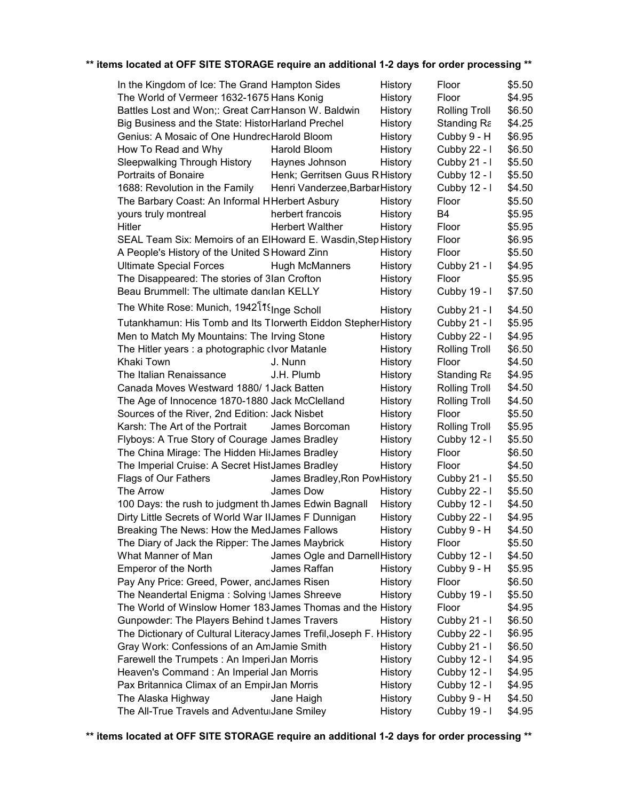| In the Kingdom of Ice: The Grand Hampton Sides                        |                                 | History | Floor                | \$5.50 |
|-----------------------------------------------------------------------|---------------------------------|---------|----------------------|--------|
| The World of Vermeer 1632-1675 Hans Konig                             |                                 | History | Floor                | \$4.95 |
| Battles Lost and Won;: Great CarrHanson W. Baldwin                    |                                 | History | Rolling Troll        | \$6.50 |
| Big Business and the State: HistorHarland Prechel                     |                                 | History | Standing Ra          | \$4.25 |
| Genius: A Mosaic of One HundrecHarold Bloom                           |                                 | History | Cubby 9 - H          | \$6.95 |
| How To Read and Why                                                   | Harold Bloom                    | History | Cubby 22 - I         | \$6.50 |
| Sleepwalking Through History                                          | Haynes Johnson                  | History | Cubby 21 - I         | \$5.50 |
| <b>Portraits of Bonaire</b>                                           | Henk; Gerritsen Guus R History  |         | Cubby 12 - I         | \$5.50 |
| 1688: Revolution in the Family                                        | Henri Vanderzee, Barbar History |         | Cubby 12 - I         | \$4.50 |
| The Barbary Coast: An Informal HHerbert Asbury                        |                                 | History | Floor                | \$5.50 |
| yours truly montreal                                                  | herbert francois                | History | B <sub>4</sub>       | \$5.95 |
| Hitler                                                                | <b>Herbert Walther</b>          | History | Floor                | \$5.95 |
| SEAL Team Six: Memoirs of an ElHoward E. Wasdin, Step History         |                                 |         | Floor                | \$6.95 |
| A People's History of the United S Howard Zinn                        |                                 | History | Floor                | \$5.50 |
| <b>Ultimate Special Forces</b>                                        | <b>Hugh McManners</b>           | History | Cubby $21 - 1$       | \$4.95 |
| The Disappeared: The stories of 3Ian Crofton                          |                                 | History | Floor                | \$5.95 |
| Beau Brummell: The ultimate dandlan KELLY                             |                                 | History | Cubby 19 - I         | \$7.50 |
| The White Rose: Munich, 1942 <sup>[119]</sup> Scholl                  |                                 |         |                      |        |
|                                                                       |                                 | History | Cubby $21 - 1$       | \$4.50 |
| Tutankhamun: His Tomb and Its Tlorwerth Eiddon Stepher History        |                                 |         | Cubby $21 - 1$       | \$5.95 |
| Men to Match My Mountains: The Irving Stone                           |                                 | History | Cubby 22 - I         | \$4.95 |
| The Hitler years: a photographic civor Matanle                        |                                 | History | <b>Rolling Troll</b> | \$6.50 |
| Khaki Town                                                            | J. Nunn                         | History | Floor                | \$4.50 |
| The Italian Renaissance                                               | J.H. Plumb                      | History | Standing Ra          | \$4.95 |
| Canada Moves Westward 1880/1Jack Batten                               |                                 | History | <b>Rolling Troll</b> | \$4.50 |
| The Age of Innocence 1870-1880 Jack McClelland                        |                                 | History | <b>Rolling Troll</b> | \$4.50 |
| Sources of the River, 2nd Edition: Jack Nisbet                        |                                 | History | Floor                | \$5.50 |
| Karsh: The Art of the Portrait                                        | James Borcoman                  | History | <b>Rolling Troll</b> | \$5.95 |
| Flyboys: A True Story of Courage James Bradley                        |                                 | History | Cubby 12 - I         | \$5.50 |
| The China Mirage: The Hidden HisJames Bradley                         |                                 | History | Floor                | \$6.50 |
| The Imperial Cruise: A Secret HistJames Bradley                       |                                 | History | Floor                | \$4.50 |
| Flags of Our Fathers                                                  | James Bradley, Ron Pow History  |         | Cubby $21 - 1$       | \$5.50 |
| The Arrow                                                             | James Dow                       | History | Cubby 22 - I         | \$5.50 |
| 100 Days: the rush to judgment th James Edwin Bagnall                 |                                 | History | Cubby 12 - I         | \$4.50 |
| Dirty Little Secrets of World War IIJames F Dunnigan                  |                                 | History | Cubby $22 - 1$       | \$4.95 |
| Breaking The News: How the MedJames Fallows                           |                                 | History | Cubby 9 - H          | \$4.50 |
| The Diary of Jack the Ripper: The James Maybrick                      |                                 | History | Floor                | \$5.50 |
| What Manner of Man                                                    | James Ogle and Darnell History  |         | Cubby 12 - I         | \$4.50 |
| <b>Emperor of the North</b>                                           | James Raffan                    | History | Cubby 9 - H          | \$5.95 |
| Pay Any Price: Greed, Power, and James Risen                          |                                 | History | Floor                | \$6.50 |
| The Neandertal Enigma: Solving IJames Shreeve                         |                                 | History | Cubby 19 - I         | \$5.50 |
| The World of Winslow Homer 183 James Thomas and the History           |                                 |         | Floor                | \$4.95 |
| Gunpowder: The Players Behind tJames Travers                          |                                 | History | Cubby 21 - I         | \$6.50 |
| The Dictionary of Cultural Literacy James Trefil, Joseph F. I History |                                 |         | Cubby 22 - I         | \$6.95 |
| Gray Work: Confessions of an AmJamie Smith                            |                                 | History | Cubby 21 - I         | \$6.50 |
| Farewell the Trumpets: An ImperiJan Morris                            |                                 | History | Cubby 12 - I         | \$4.95 |
| Heaven's Command : An Imperial Jan Morris                             |                                 | History | Cubby 12 - I         | \$4.95 |
| Pax Britannica Climax of an EmpirJan Morris                           |                                 | History | Cubby 12 - I         | \$4.95 |
| The Alaska Highway                                                    | Jane Haigh                      | History | Cubby 9 - H          | \$4.50 |
| The All-True Travels and AdventuiJane Smiley                          |                                 |         | Cubby 19 - I         | \$4.95 |
|                                                                       |                                 | History |                      |        |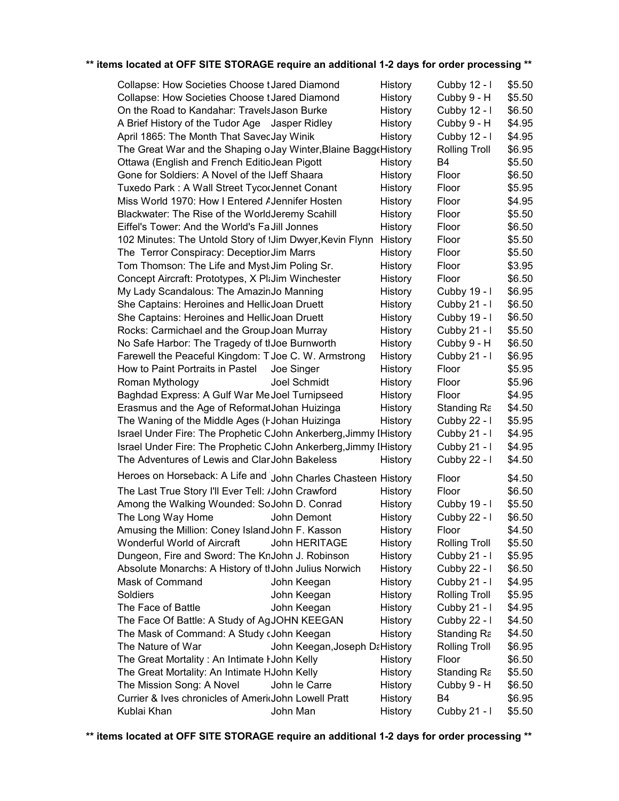| Collapse: How Societies Choose t Jared Diamond                   | <b>History</b> | Cubby 12 - I         | \$5.50 |
|------------------------------------------------------------------|----------------|----------------------|--------|
| Collapse: How Societies Choose t Jared Diamond                   | History        | Cubby 9 - H          | \$5.50 |
| On the Road to Kandahar: Travels Jason Burke                     | History        | Cubby 12 - I         | \$6.50 |
| A Brief History of the Tudor Age Jasper Ridley                   | History        | Cubby 9 - H          | \$4.95 |
| April 1865: The Month That SavecJay Winik                        | History        | Cubby 12 - I         | \$4.95 |
| The Great War and the Shaping oJay Winter, Blaine Bagge History  |                | <b>Rolling Troll</b> | \$6.95 |
| Ottawa (English and French EditioJean Pigott                     | History        | B4                   | \$5.50 |
| Gone for Soldiers: A Novel of the IJeff Shaara                   | History        | Floor                | \$6.50 |
| Tuxedo Park: A Wall Street TycorJennet Conant                    | History        | Floor                | \$5.95 |
| Miss World 1970: How I Entered AJennifer Hosten                  | History        | Floor                | \$4.95 |
| Blackwater: The Rise of the WorldJeremy Scahill                  | History        | Floor                | \$5.50 |
| Eiffel's Tower: And the World's Fa Jill Jonnes                   | History        | Floor                | \$6.50 |
| 102 Minutes: The Untold Story of IJim Dwyer, Kevin Flynn         | History        | Floor                | \$5.50 |
| The Terror Conspiracy: Deceptior Jim Marrs                       | History        | Floor                | \$5.50 |
| Tom Thomson: The Life and Myst Jim Poling Sr.                    | History        | Floor                | \$3.95 |
| Concept Aircraft: Prototypes, X PkJim Winchester                 |                | Floor                | \$6.50 |
|                                                                  | History        |                      | \$6.95 |
| My Lady Scandalous: The AmazinJo Manning                         | History        | Cubby 19 - I         |        |
| She Captains: Heroines and HellicJoan Druett                     | History        | Cubby 21 - I         | \$6.50 |
| She Captains: Heroines and HellicJoan Druett                     | History        | Cubby 19 - I         | \$6.50 |
| Rocks: Carmichael and the Group Joan Murray                      | History        | Cubby 21 - I         | \$5.50 |
| No Safe Harbor: The Tragedy of tIJoe Burnworth                   | History        | Cubby 9 - H          | \$6.50 |
| Farewell the Peaceful Kingdom: TJoe C. W. Armstrong              | History        | Cubby 21 - I         | \$6.95 |
| How to Paint Portraits in Pastel<br>Joe Singer                   | History        | Floor                | \$5.95 |
| Joel Schmidt<br>Roman Mythology                                  | History        | Floor                | \$5.96 |
| Baghdad Express: A Gulf War Me Joel Turnipseed                   | History        | Floor                | \$4.95 |
| Erasmus and the Age of ReformatJohan Huizinga                    | History        | Standing Ra          | \$4.50 |
| The Waning of the Middle Ages (I-Johan Huizinga                  | History        | Cubby 22 - I         | \$5.95 |
| Israel Under Fire: The Prophetic CJohn Ankerberg, Jimmy IHistory |                | Cubby 21 - I         | \$4.95 |
| Israel Under Fire: The Prophetic CJohn Ankerberg, Jimmy IHistory |                | Cubby 21 - I         | \$4.95 |
| The Adventures of Lewis and Clar John Bakeless                   | History        | Cubby 22 - I         | \$4.50 |
| Heroes on Horseback: A Life and John Charles Chasteen History    |                | Floor                | \$4.50 |
| The Last True Story I'll Ever Tell: /John Crawford               | History        | Floor                | \$6.50 |
| Among the Walking Wounded: SoJohn D. Conrad                      | History        | Cubby 19 - I         | \$5.50 |
| The Long Way Home<br>John Demont                                 | History        | Cubby 22 - I         | \$6.50 |
| Amusing the Million: Coney Island John F. Kasson                 | History        | Floor                | \$4.50 |
| Wonderful World of Aircraft<br>John HERITAGE                     | <b>History</b> | <b>Rolling Troll</b> | \$5.50 |
| Dungeon, Fire and Sword: The KnJohn J. Robinson                  | History        | Cubby 21 - I         | \$5.95 |
| Absolute Monarchs: A History of thJohn Julius Norwich            | History        | Cubby 22 - I         | \$6.50 |
| Mask of Command<br>John Keegan                                   | History        | Cubby 21 - I         | \$4.95 |
| Soldiers<br>John Keegan                                          | History        | Rolling Troll        | \$5.95 |
| The Face of Battle<br>John Keegan                                | History        | Cubby 21 - I         | \$4.95 |
| The Face Of Battle: A Study of AgJOHN KEEGAN                     | History        | Cubby 22 - I         | \$4.50 |
| The Mask of Command: A Study cJohn Keegan                        | History        | Standing Ra          | \$4.50 |
| The Nature of War<br>John Keegan, Joseph DaHistory               |                | <b>Rolling Troll</b> | \$6.95 |
| The Great Mortality: An Intimate I John Kelly                    | History        | Floor                | \$6.50 |
| The Great Mortality: An Intimate HJohn Kelly                     | History        | Standing Ra          | \$5.50 |
| The Mission Song: A Novel<br>John le Carre                       | History        | Cubby 9 - H          | \$6.50 |
| Currier & Ives chronicles of Ameridohn Lowell Pratt              | History        | B4                   | \$6.95 |
|                                                                  |                |                      | \$5.50 |
| Kublai Khan<br>John Man                                          | History        | Cubby 21 - I         |        |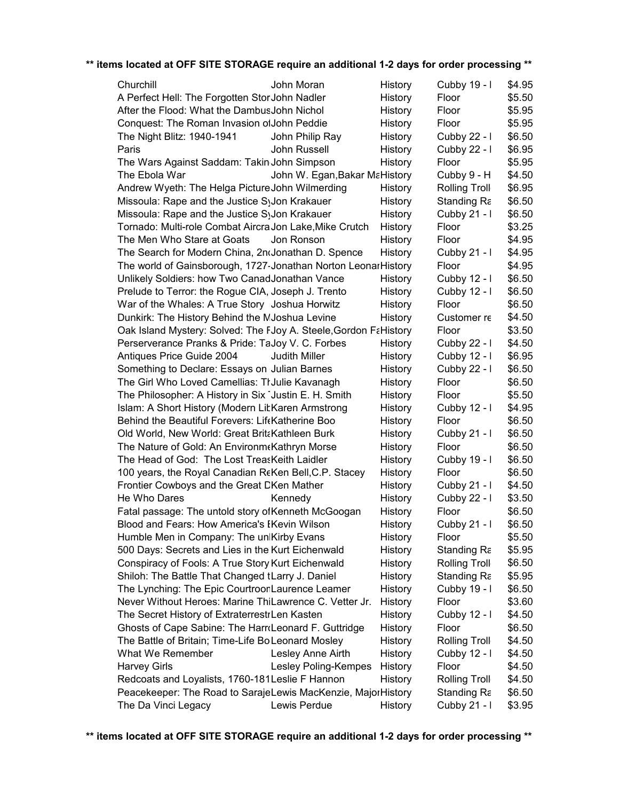| Churchill                                                        | John Moran                    | History | Cubby 19 - I         | \$4.95 |
|------------------------------------------------------------------|-------------------------------|---------|----------------------|--------|
| A Perfect Hell: The Forgotten StorJohn Nadler                    |                               | History | Floor                | \$5.50 |
| After the Flood: What the DambusJohn Nichol                      |                               | History | Floor                | \$5.95 |
| Conquest: The Roman Invasion of John Peddie                      |                               | History | Floor                | \$5.95 |
| The Night Blitz: 1940-1941                                       | John Philip Ray               | History | Cubby 22 - I         | \$6.50 |
| Paris                                                            | John Russell                  | History | Cubby 22 - I         | \$6.95 |
| The Wars Against Saddam: Takin John Simpson                      |                               | History | Floor                | \$5.95 |
| The Ebola War                                                    | John W. Egan, Bakar MaHistory |         | Cubby 9 - H          | \$4.50 |
| Andrew Wyeth: The Helga Picture John Wilmerding                  |                               | History | <b>Rolling Troll</b> | \$6.95 |
| Missoula: Rape and the Justice SyJon Krakauer                    |                               | History | Standing Ra          | \$6.50 |
| Missoula: Rape and the Justice SyJon Krakauer                    |                               | History | Cubby 21 - I         | \$6.50 |
| Tornado: Multi-role Combat Aircra Jon Lake, Mike Crutch          |                               | History | Floor                | \$3.25 |
| The Men Who Stare at Goats                                       | Jon Ronson                    | History | Floor                | \$4.95 |
| The Search for Modern China, 2nd Jonathan D. Spence              |                               | History | Cubby 21 - I         | \$4.95 |
| The world of Gainsborough, 1727-Jonathan Norton Leonar History   |                               |         | Floor                | \$4.95 |
| Unlikely Soldiers: how Two CanadJonathan Vance                   |                               | History | Cubby 12 - I         | \$6.50 |
| Prelude to Terror: the Rogue CIA, Joseph J. Trento               |                               | History | Cubby 12 - I         | \$6.50 |
| War of the Whales: A True Story Joshua Horwitz                   |                               | History | Floor                | \$6.50 |
| Dunkirk: The History Behind the MJoshua Levine                   |                               | History | Customer re          | \$4.50 |
| Oak Island Mystery: Solved: The FJoy A. Steele, Gordon FaHistory |                               |         | Floor                | \$3.50 |
| Perserverance Pranks & Pride: TaJoy V. C. Forbes                 |                               | History | Cubby 22 - I         | \$4.50 |
| Antiques Price Guide 2004                                        | Judith Miller                 | History | Cubby 12 - I         | \$6.95 |
| Something to Declare: Essays on Julian Barnes                    |                               | History | Cubby 22 - I         | \$6.50 |
| The Girl Who Loved Camellias: TrJulie Kavanagh                   |                               | History | Floor                | \$6.50 |
| The Philosopher: A History in Six Justin E. H. Smith             |                               | History | Floor                | \$5.50 |
| Islam: A Short History (Modern LitKaren Armstrong                |                               | History | Cubby 12 - I         | \$4.95 |
| Behind the Beautiful Forevers: LifeKatherine Boo                 |                               | History | Floor                | \$6.50 |
| Old World, New World: Great BritaKathleen Burk                   |                               | History | Cubby 21 - I         | \$6.50 |
| The Nature of Gold: An Environm Kathryn Morse                    |                               | History | Floor                | \$6.50 |
| The Head of God: The Lost TreasKeith Laidler                     |                               | History | Cubby 19 - I         | \$6.50 |
| 100 years, the Royal Canadian ReKen Bell, C.P. Stacey            |                               | History | Floor                | \$6.50 |
| Frontier Cowboys and the Great DKen Mather                       |                               | History | Cubby 21 - I         | \$4.50 |
| He Who Dares                                                     | Kennedy                       | History | Cubby 22 - I         | \$3.50 |
| Fatal passage: The untold story of Kenneth McGoogan              |                               | History | Floor                | \$6.50 |
| Blood and Fears: How America's EKevin Wilson                     |                               | History | Cubby 21 - I         | \$6.50 |
| Humble Men in Company: The unlKirby Evans                        |                               | History | Floor                | \$5.50 |
| 500 Days: Secrets and Lies in the Kurt Eichenwald                |                               | History | Standing Ra          | \$5.95 |
| Conspiracy of Fools: A True Story Kurt Eichenwald                |                               | History | <b>Rolling Troll</b> | \$6.50 |
| Shiloh: The Battle That Changed tLarry J. Daniel                 |                               | History | Standing Ra          | \$5.95 |
| The Lynching: The Epic CourtroonLaurence Leamer                  |                               | History | Cubby 19 - I         | \$6.50 |
| Never Without Heroes: Marine ThiLawrence C. Vetter Jr.           |                               | History | Floor                | \$3.60 |
| The Secret History of ExtraterrestrLen Kasten                    |                               | History | Cubby 12 - I         | \$4.50 |
| Ghosts of Cape Sabine: The HarrdLeonard F. Guttridge             |                               | History | Floor                | \$6.50 |
| The Battle of Britain; Time-Life BoLeonard Mosley                |                               | History | <b>Rolling Troll</b> | \$4.50 |
| What We Remember                                                 | Lesley Anne Airth             | History | Cubby 12 - I         | \$4.50 |
| <b>Harvey Girls</b>                                              | Lesley Poling-Kempes          | History | Floor                | \$4.50 |
| Redcoats and Loyalists, 1760-181 Leslie F Hannon                 |                               | History | <b>Rolling Troll</b> | \$4.50 |
| Peacekeeper: The Road to SarajeLewis MacKenzie, MajorHistory     |                               |         | Standing Ra          | \$6.50 |
| The Da Vinci Legacy                                              | Lewis Perdue                  | History | Cubby 21 - I         | \$3.95 |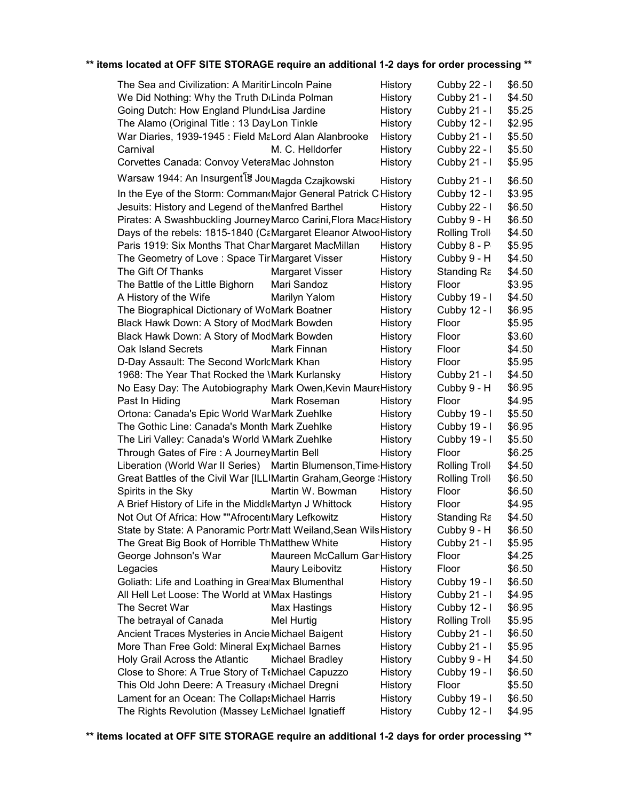| The Sea and Civilization: A MaritinLincoln Paine                         |                              | History | Cubby 22 - I         | \$6.50 |
|--------------------------------------------------------------------------|------------------------------|---------|----------------------|--------|
| We Did Nothing: Why the Truth DiLinda Polman                             |                              | History | Cubby 21 - I         | \$4.50 |
| Going Dutch: How England Plund(Lisa Jardine                              |                              | History | Cubby 21 - I         | \$5.25 |
| The Alamo (Original Title: 13 Day Lon Tinkle                             |                              | History | Cubby 12 - I         | \$2.95 |
| War Diaries, 1939-1945 : Field MaLord Alan Alanbrooke                    |                              | History | Cubby 21 - I         | \$5.50 |
| Carnival                                                                 | M. C. Helldorfer             | History | Cubby 22 - I         | \$5.50 |
| Corvettes Canada: Convoy VeteraMac Johnston                              |                              | History | Cubby 21 - I         | \$5.95 |
| Warsaw 1944: An Insurgent <sup>[3]</sup> Jou <sub>Magda</sub> Czajkowski |                              | History | Cubby 21 - I         | \$6.50 |
| In the Eye of the Storm: Comman Major General Patrick CHistory           |                              |         | Cubby 12 - I         | \$3.95 |
| Jesuits: History and Legend of theManfred Barthel                        |                              | History | Cubby 22 - I         | \$6.50 |
| Pirates: A Swashbuckling Journey Marco Carini, Flora MacaHistory         |                              |         | Cubby 9 - H          | \$6.50 |
| Days of the rebels: 1815-1840 (CaMargaret Eleanor AtwooHistory           |                              |         | <b>Rolling Troll</b> | \$4.50 |
| Paris 1919: Six Months That ChanMargaret MacMillan                       |                              | History | Cubby 8 - P          | \$5.95 |
| The Geometry of Love: Space TirMargaret Visser                           |                              | History | Cubby 9 - H          | \$4.50 |
| The Gift Of Thanks                                                       | Margaret Visser              | History | Standing Ra          | \$4.50 |
| The Battle of the Little Bighorn                                         | Mari Sandoz                  | History | Floor                | \$3.95 |
| A History of the Wife                                                    | Marilyn Yalom                | History | Cubby 19 - I         | \$4.50 |
| The Biographical Dictionary of WoMark Boatner                            |                              | History | Cubby 12 - I         | \$6.95 |
| Black Hawk Down: A Story of ModMark Bowden                               |                              | History | Floor                | \$5.95 |
| Black Hawk Down: A Story of ModMark Bowden                               |                              | History | Floor                | \$3.60 |
| Oak Island Secrets                                                       | Mark Finnan                  | History | Floor                | \$4.50 |
| D-Day Assault: The Second WorlcMark Khan                                 |                              | History | Floor                | \$5.95 |
| 1968: The Year That Rocked the \Mark Kurlansky                           |                              | History | Cubby 21 - I         | \$4.50 |
| No Easy Day: The Autobiography Mark Owen, Kevin Maure History            |                              |         | Cubby 9 - H          | \$6.95 |
| Past In Hiding                                                           | Mark Roseman                 | History | Floor                | \$4.95 |
| Ortona: Canada's Epic World WarMark Zuehlke                              |                              | History | Cubby 19 - I         | \$5.50 |
| The Gothic Line: Canada's Month Mark Zuehlke                             |                              | History | Cubby 19 - I         | \$6.95 |
| The Liri Valley: Canada's World WMark Zuehlke                            |                              | History | Cubby 19 - I         | \$5.50 |
| Through Gates of Fire: A Journey Martin Bell                             |                              | History | Floor                | \$6.25 |
| Liberation (World War II Series) Martin Blumenson, Time History          |                              |         | <b>Rolling Troll</b> | \$4.50 |
| Great Battles of the Civil War [ILLIMartin Graham, George \'History      |                              |         | <b>Rolling Troll</b> | \$6.50 |
| Spirits in the Sky                                                       | Martin W. Bowman             | History | Floor                | \$6.50 |
| A Brief History of Life in the Middl Martyn J Whittock                   |                              | History | Floor                | \$4.95 |
| Not Out Of Africa: How ""Afrocent Mary Lefkowitz                         |                              | History | Standing Ra          | \$4.50 |
| State by State: A Panoramic PortrMatt Weiland, Sean Wils History         |                              |         | Cubby 9 - H          | \$6.50 |
| The Great Big Book of Horrible ThMatthew White                           |                              | History | Cubby 21 - I         | \$5.95 |
| George Johnson's War                                                     | Maureen McCallum Gar History |         | Floor                | \$4.25 |
| Legacies                                                                 | Maury Leibovitz              | History | Floor                | \$6.50 |
| Goliath: Life and Loathing in GrealMax Blumenthal                        |                              | History | Cubby 19 - I         | \$6.50 |
| All Hell Let Loose: The World at WMax Hastings                           |                              | History | Cubby 21 - I         | \$4.95 |
| The Secret War                                                           | <b>Max Hastings</b>          | History | Cubby 12 - I         | \$6.95 |
| The betrayal of Canada                                                   | Mel Hurtig                   | History | <b>Rolling Troll</b> | \$5.95 |
| Ancient Traces Mysteries in Ancie Michael Baigent                        |                              | History | Cubby 21 - I         | \$6.50 |
| More Than Free Gold: Mineral ExtMichael Barnes                           |                              | History | Cubby 21 - I         | \$5.95 |
| Holy Grail Across the Atlantic                                           | Michael Bradley              | History | Cubby 9 - H          | \$4.50 |
| Close to Shore: A True Story of T(Michael Capuzzo                        |                              | History | Cubby 19 - I         | \$6.50 |
| This Old John Deere: A Treasury (Michael Dregni                          |                              | History | Floor                | \$5.50 |
| Lament for an Ocean: The CollapsMichael Harris                           |                              | History | Cubby 19 - I         | \$6.50 |
| The Rights Revolution (Massey LeMichael Ignatieff                        |                              | History | Cubby 12 - I         | \$4.95 |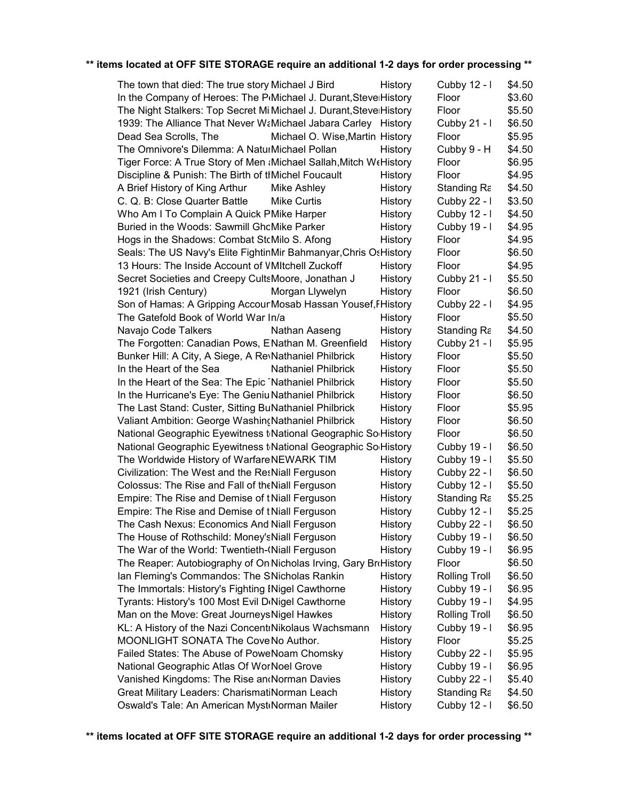| The town that died: The true story Michael J Bird                          | History | Cubby 12 - I         | \$4.50 |
|----------------------------------------------------------------------------|---------|----------------------|--------|
| In the Company of Heroes: The P(Michael J. Durant, Stevel History          |         | Floor                | \$3.60 |
| The Night Stalkers: Top Secret Mi Michael J. Durant, Steve History         |         | Floor                | \$5.50 |
| 1939: The Alliance That Never WaMichael Jabara Carley History              |         | Cubby 21 - I         | \$6.50 |
| Dead Sea Scrolls, The<br>Michael O. Wise, Martin History                   |         | Floor                | \$5.95 |
| The Omnivore's Dilemma: A NaturMichael Pollan                              | History | Cubby 9 - H          | \$4.50 |
| Tiger Force: A True Story of Men (Michael Sallah, Mitch We History         |         | Floor                | \$6.95 |
| Discipline & Punish: The Birth of thMichel Foucault                        | History | Floor                | \$4.95 |
| A Brief History of King Arthur<br>Mike Ashley                              | History | Standing Ra          | \$4.50 |
| C. Q. B: Close Quarter Battle<br>Mike Curtis                               | History | Cubby 22 - I         | \$3.50 |
| Who Am I To Complain A Quick PMike Harper                                  | History | Cubby 12 - I         | \$4.50 |
| Buried in the Woods: Sawmill GhcMike Parker                                | History | Cubby 19 - I         | \$4.95 |
| Hogs in the Shadows: Combat StcMilo S. Afong                               | History | Floor                | \$4.95 |
| Seals: The US Navy's Elite FightinMir Bahmanyar, Chris Os History          |         | Floor                | \$6.50 |
| 13 Hours: The Inside Account of VMItchell Zuckoff                          | History | Floor                | \$4.95 |
| Secret Societies and Creepy CultsMoore, Jonathan J                         | History | Cubby $21 - 1$       | \$5.50 |
| 1921 (Irish Century)<br>Morgan Llywelyn                                    | History | Floor                | \$6.50 |
| Son of Hamas: A Gripping AccourMosab Hassan Yousef, FHistory               |         | Cubby 22 - I         | \$4.95 |
| The Gatefold Book of World War In/a                                        | History | Floor                | \$5.50 |
| Navajo Code Talkers<br>Nathan Aaseng                                       | History | Standing Ra          | \$4.50 |
| The Forgotten: Canadian Pows, ENathan M. Greenfield                        | History | Cubby $21 - 1$       | \$5.95 |
| Bunker Hill: A City, A Siege, A Re\Nathaniel Philbrick                     | History | Floor                | \$5.50 |
| In the Heart of the Sea<br><b>Nathaniel Philbrick</b>                      | History | Floor                | \$5.50 |
| In the Heart of the Sea: The Epic Nathaniel Philbrick                      | History | Floor                | \$5.50 |
| In the Hurricane's Eye: The Geniu Nathaniel Philbrick                      | History | Floor                | \$6.50 |
| The Last Stand: Custer, Sitting BuNathaniel Philbrick                      | History | Floor                | \$5.95 |
| Valiant Ambition: George Washin (Nathaniel Philbrick                       | History | Floor                | \$6.50 |
| National Geographic Eyewitness t <sub>National</sub> Geographic SolHistory |         | Floor                | \$6.50 |
| National Geographic Eyewitness t <sub>National</sub> Geographic SolHistory |         | Cubby 19 - I         | \$6.50 |
| The Worldwide History of WarfareNEWARK TIM                                 | History | Cubby 19 - I         | \$5.50 |
| Civilization: The West and the ResNiall Ferguson                           | History | Cubby 22 - I         | \$6.50 |
| Colossus: The Rise and Fall of the Niall Ferguson                          | History | Cubby 12 - I         | \$5.50 |
| Empire: The Rise and Demise of tNiall Ferguson                             | History | Standing Ra          | \$5.25 |
| Empire: The Rise and Demise of tNiall Ferguson                             | History | Cubby 12 - I         | \$5.25 |
| The Cash Nexus: Economics And Niall Ferguson                               | History | Cubby 22 - I         | \$6.50 |
| The House of Rothschild: Money's Niall Ferguson                            | History | Cubby 19 - I         | \$6.50 |
| The War of the World: Twentieth-(Niall Ferguson                            | History | Cubby 19 - I         | \$6.95 |
| The Reaper: Autobiography of On Nicholas Irving, Gary BroHistory           |         | Floor                | \$6.50 |
| Ian Fleming's Commandos: The SNicholas Rankin                              | History | <b>Rolling Troll</b> | \$6.50 |
| The Immortals: History's Fighting INigel Cawthorne                         | History | Cubby 19 - I         | \$6.95 |
| Tyrants: History's 100 Most Evil DiNigel Cawthorne                         | History | Cubby 19 - I         | \$4.95 |
| Man on the Move: Great Journeys Nigel Hawkes                               | History | <b>Rolling Troll</b> | \$6.50 |
| KL: A History of the Nazi ConcentrNikolaus Wachsmann                       | History | Cubby 19 - I         | \$6.95 |
| MOONLIGHT SONATA The Cove No Author.                                       | History | Floor                | \$5.25 |
| Failed States: The Abuse of PoweNoam Chomsky                               | History | Cubby 22 - I         | \$5.95 |
| National Geographic Atlas Of WorNoel Grove                                 | History | Cubby 19 - I         | \$6.95 |
| Vanished Kingdoms: The Rise an Norman Davies                               | History | Cubby 22 - I         | \$5.40 |
| Great Military Leaders: CharismatiNorman Leach                             | History | Standing Ra          | \$4.50 |
| Oswald's Tale: An American Myst Norman Mailer                              | History | Cubby 12 - I         | \$6.50 |
|                                                                            |         |                      |        |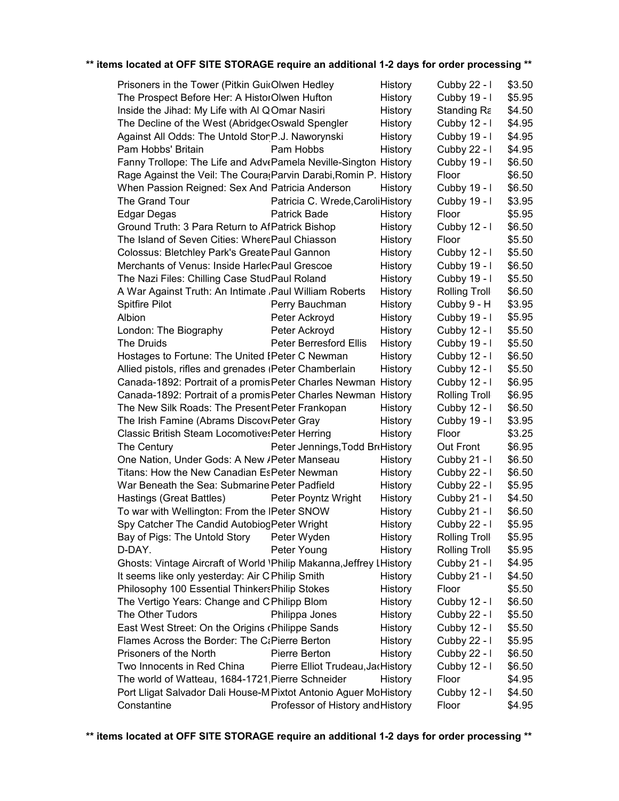| Prisoners in the Tower (Pitkin GuioOlwen Hedley                     |                                   | History        | Cubby 22 - I         | \$3.50 |
|---------------------------------------------------------------------|-----------------------------------|----------------|----------------------|--------|
| The Prospect Before Her: A HistorOlwen Hufton                       |                                   | <b>History</b> | Cubby 19 - I         | \$5.95 |
| Inside the Jihad: My Life with AI QOmar Nasiri                      |                                   | History        | Standing Ra          | \$4.50 |
| The Decline of the West (Abridge Coswald Spengler                   |                                   | History        | Cubby 12 - I         | \$4.95 |
| Against All Odds: The Untold StorP.J. Naworynski                    |                                   | History        | Cubby 19 - I         | \$4.95 |
| Pam Hobbs' Britain                                                  | Pam Hobbs                         | History        | Cubby 22 - I         | \$4.95 |
| Fanny Trollope: The Life and AdvePamela Neville-Sington History     |                                   |                | Cubby 19 - I         | \$6.50 |
| Rage Against the Veil: The Coura (Parvin Darabi, Romin P. History   |                                   |                | Floor                | \$6.50 |
| When Passion Reigned: Sex And Patricia Anderson                     |                                   | History        | Cubby 19 - I         | \$6.50 |
| The Grand Tour                                                      | Patricia C. Wrede, Caroli History |                | Cubby 19 - I         | \$3.95 |
| <b>Edgar Degas</b>                                                  | <b>Patrick Bade</b>               | History        | Floor                | \$5.95 |
| Ground Truth: 3 Para Return to AfPatrick Bishop                     |                                   | History        | Cubby 12 - I         | \$6.50 |
| The Island of Seven Cities: WherePaul Chiasson                      |                                   | History        | Floor                | \$5.50 |
| Colossus: Bletchley Park's Greate Paul Gannon                       |                                   | History        | Cubby 12 - I         | \$5.50 |
| Merchants of Venus: Inside HarlecPaul Grescoe                       |                                   | History        | Cubby 19 - I         | \$6.50 |
| The Nazi Files: Chilling Case StudPaul Roland                       |                                   | History        | Cubby 19 - I         | \$5.50 |
| A War Against Truth: An Intimate , Paul William Roberts             |                                   | History        | <b>Rolling Troll</b> | \$6.50 |
| <b>Spitfire Pilot</b>                                               | Perry Bauchman                    | History        | Cubby 9 - H          | \$3.95 |
| Albion                                                              | Peter Ackroyd                     | History        | Cubby 19 - I         | \$5.95 |
| London: The Biography                                               | Peter Ackroyd                     | History        | Cubby 12 - I         | \$5.50 |
| The Druids                                                          | <b>Peter Berresford Ellis</b>     | History        | Cubby 19 - I         | \$5.50 |
| Hostages to Fortune: The United IPeter C Newman                     |                                   | History        | Cubby 12 - I         | \$6.50 |
| Allied pistols, rifles and grenades (Peter Chamberlain              |                                   | History        | Cubby 12 - I         | \$5.50 |
| Canada-1892: Portrait of a promis Peter Charles Newman History      |                                   |                | Cubby 12 - I         | \$6.95 |
| Canada-1892: Portrait of a promis Peter Charles Newman History      |                                   |                | <b>Rolling Troll</b> | \$6.95 |
| The New Silk Roads: The Present Peter Frankopan                     |                                   | History        | Cubby 12 - I         | \$6.50 |
| The Irish Famine (Abrams DiscovePeter Gray                          |                                   | History        | Cubby 19 - I         | \$3.95 |
| Classic British Steam Locomotives Peter Herring                     |                                   | History        | Floor                | \$3.25 |
| The Century                                                         | Peter Jennings, Todd BroHistory   |                | Out Front            | \$6.95 |
| One Nation, Under Gods: A New /Peter Manseau                        |                                   | History        | Cubby 21 - I         | \$6.50 |
| Titans: How the New Canadian EsPeter Newman                         |                                   | History        | Cubby 22 - I         | \$6.50 |
| War Beneath the Sea: Submarine Peter Padfield                       |                                   | History        | Cubby 22 - I         | \$5.95 |
| Hastings (Great Battles)                                            | Peter Poyntz Wright               | History        | Cubby 21 - I         | \$4.50 |
| To war with Wellington: From the IPeter SNOW                        |                                   | History        | Cubby 21 - I         | \$6.50 |
| Spy Catcher The Candid AutobiogPeter Wright                         |                                   | History        | Cubby 22 - I         | \$5.95 |
| Bay of Pigs: The Untold Story                                       | Peter Wyden                       | History        | <b>Rolling Troll</b> | \$5.95 |
| D-DAY.                                                              | Peter Young                       | History        | <b>Rolling Troll</b> | \$5.95 |
| Ghosts: Vintage Aircraft of World \Philip Makanna, Jeffrey LHistory |                                   |                | Cubby 21 - I         | \$4.95 |
| It seems like only yesterday: Air C Philip Smith                    |                                   | History        | Cubby 21 - I         | \$4.50 |
| Philosophy 100 Essential Thinkers Philip Stokes                     |                                   | History        | Floor                | \$5.50 |
| The Vertigo Years: Change and CPhilipp Blom                         |                                   | History        | Cubby 12 - I         | \$6.50 |
| The Other Tudors                                                    | Philippa Jones                    | History        | Cubby 22 - I         | \$5.50 |
| East West Street: On the Origins (Philippe Sands                    |                                   | History        | Cubby 12 - I         | \$5.50 |
| Flames Across the Border: The C&Pierre Berton                       |                                   | History        | Cubby 22 - I         | \$5.95 |
| Prisoners of the North                                              | Pierre Berton                     | History        | Cubby 22 - I         | \$6.50 |
| Two Innocents in Red China                                          | Pierre Elliot Trudeau, JacHistory |                | Cubby 12 - I         | \$6.50 |
| The world of Watteau, 1684-1721, Pierre Schneider                   |                                   | History        | Floor                | \$4.95 |
| Port Lligat Salvador Dali House-M Pixtot Antonio Aguer MoHistory    |                                   |                | Cubby 12 - I         | \$4.50 |
| Constantine                                                         | Professor of History and History  |                | Floor                | \$4.95 |
|                                                                     |                                   |                |                      |        |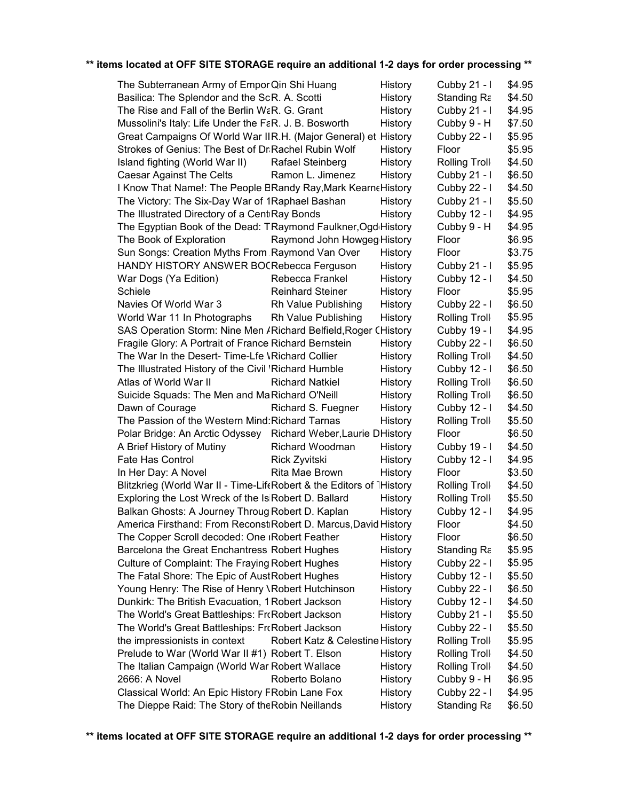| The Subterranean Army of Empor Qin Shi Huang                         |                                 | History | Cubby 21 - I         | \$4.95 |
|----------------------------------------------------------------------|---------------------------------|---------|----------------------|--------|
| Basilica: The Splendor and the ScR. A. Scotti                        |                                 | History | Standing Ra          | \$4.50 |
| The Rise and Fall of the Berlin W&R. G. Grant                        |                                 | History | Cubby 21 - I         | \$4.95 |
| Mussolini's Italy: Life Under the FaR. J. B. Bosworth                |                                 | History | Cubby 9 - H          | \$7.50 |
| Great Campaigns Of World War IIR.H. (Major General) et History       |                                 |         | Cubby 22 - I         | \$5.95 |
| Strokes of Genius: The Best of Dr Rachel Rubin Wolf                  |                                 | History | Floor                | \$5.95 |
| Island fighting (World War II)                                       | Rafael Steinberg                | History | <b>Rolling Troll</b> | \$4.50 |
| Caesar Against The Celts                                             | Ramon L. Jimenez                | History | Cubby $21 - 1$       | \$6.50 |
| I Know That Name!: The People BRandy Ray, Mark Kearne History        |                                 |         | Cubby 22 - I         | \$4.50 |
| The Victory: The Six-Day War of 1Raphael Bashan                      |                                 | History | Cubby $21 - 1$       | \$5.50 |
| The Illustrated Directory of a CentiRay Bonds                        |                                 | History | Cubby 12 - I         | \$4.95 |
| The Egyptian Book of the Dead: TRaymond Faulkner, Ogd History        |                                 |         | Cubby 9 - H          | \$4.95 |
| The Book of Exploration                                              | Raymond John Howgeg History     |         | Floor                | \$6.95 |
| Sun Songs: Creation Myths From Raymond Van Over                      |                                 | History | Floor                | \$3.75 |
| HANDY HISTORY ANSWER BOCRebecca Ferguson                             |                                 | History | Cubby $21 - 1$       | \$5.95 |
| War Dogs (Ya Edition)                                                | Rebecca Frankel                 | History | Cubby 12 - I         | \$4.50 |
| Schiele                                                              | <b>Reinhard Steiner</b>         | History | Floor                | \$5.95 |
| Navies Of World War 3                                                | Rh Value Publishing             | History | Cubby 22 - I         | \$6.50 |
| World War 11 In Photographs                                          | Rh Value Publishing             | History | <b>Rolling Troll</b> | \$5.95 |
| SAS Operation Storm: Nine Men / Richard Belfield, Roger CHistory     |                                 |         | Cubby 19 - I         | \$4.95 |
| Fragile Glory: A Portrait of France Richard Bernstein                |                                 | History | Cubby 22 - I         | \$6.50 |
| The War In the Desert- Time-Lfe VRichard Collier                     |                                 | History | <b>Rolling Troll</b> | \$4.50 |
| The Illustrated History of the Civil 'Richard Humble                 |                                 | History | Cubby 12 - I         | \$6.50 |
| Atlas of World War II                                                | <b>Richard Natkiel</b>          | History | <b>Rolling Troll</b> | \$6.50 |
| Suicide Squads: The Men and MaRichard O'Neill                        |                                 | History | Rolling Troll        | \$6.50 |
| Dawn of Courage                                                      | Richard S. Fuegner              | History | Cubby 12 - I         | \$4.50 |
| The Passion of the Western Mind: Richard Tarnas                      |                                 | History | <b>Rolling Troll</b> | \$5.50 |
| Polar Bridge: An Arctic Odyssey Richard Weber, Laurie DHistory       |                                 |         | Floor                | \$6.50 |
| A Brief History of Mutiny                                            | Richard Woodman                 | History | Cubby 19 - I         | \$4.50 |
| Fate Has Control                                                     | Rick Zyvitski                   | History | Cubby 12 - I         | \$4.95 |
| In Her Day: A Novel                                                  | Rita Mae Brown                  | History | Floor                | \$3.50 |
| Blitzkrieg (World War II - Time-LifeRobert & the Editors of 1History |                                 |         | <b>Rolling Troll</b> | \$4.50 |
| Exploring the Lost Wreck of the Is Robert D. Ballard                 |                                 | History | <b>Rolling Troll</b> | \$5.50 |
| Balkan Ghosts: A Journey Throug Robert D. Kaplan                     |                                 | History | Cubby 12 - I         | \$4.95 |
| America Firsthand: From ReconstiRobert D. Marcus, David History      |                                 |         | Floor                | \$4.50 |
| The Copper Scroll decoded: One <sub>I</sub> Robert Feather           |                                 | History | Floor                | \$6.50 |
| Barcelona the Great Enchantress Robert Hughes                        |                                 | History | Standing Ra          | \$5.95 |
| Culture of Complaint: The Fraying Robert Hughes                      |                                 | History | Cubby 22 - I         | \$5.95 |
| The Fatal Shore: The Epic of AustRobert Hughes                       |                                 | History | Cubby 12 - I         | \$5.50 |
| Young Henry: The Rise of Henry \Robert Hutchinson                    |                                 | History | Cubby 22 - I         | \$6.50 |
| Dunkirk: The British Evacuation, 1 Robert Jackson                    |                                 | History | Cubby 12 - I         | \$4.50 |
| The World's Great Battleships: FrcRobert Jackson                     |                                 | History | Cubby 21 - I         | \$5.50 |
| The World's Great Battleships: FrcRobert Jackson                     |                                 | History | Cubby 22 - I         | \$5.50 |
| the impressionists in context                                        | Robert Katz & Celestine History |         | <b>Rolling Troll</b> | \$5.95 |
| Prelude to War (World War II #1) Robert T. Elson                     |                                 | History | Rolling Troll        | \$4.50 |
| The Italian Campaign (World War Robert Wallace                       |                                 | History | <b>Rolling Troll</b> | \$4.50 |
| 2666: A Novel                                                        | Roberto Bolano                  | History | Cubby 9 - H          | \$6.95 |
| Classical World: An Epic History FRobin Lane Fox                     |                                 | History | Cubby 22 - I         | \$4.95 |
| The Dieppe Raid: The Story of the Robin Neillands                    |                                 | History | Standing Ra          | \$6.50 |
|                                                                      |                                 |         |                      |        |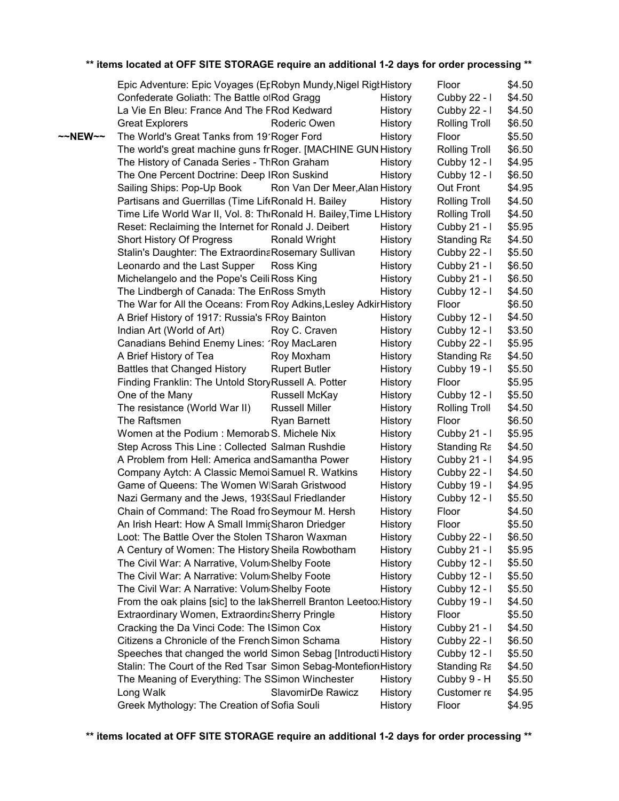|                   | Epic Adventure: Epic Voyages (EcRobyn Mundy, Nigel Rigt History                                    |         | Floor                | \$4.50           |  |
|-------------------|----------------------------------------------------------------------------------------------------|---------|----------------------|------------------|--|
|                   | Confederate Goliath: The Battle ofRod Gragg                                                        | History | Cubby 22 - I         | \$4.50           |  |
|                   | La Vie En Bleu: France And The FRod Kedward                                                        | History | Cubby 22 - I         | \$4.50           |  |
|                   | <b>Great Explorers</b><br>Roderic Owen                                                             | History | <b>Rolling Troll</b> | \$6.50           |  |
| $\sim$ NEW $\sim$ | The World's Great Tanks from 19'Roger Ford                                                         | History | Floor                | \$5.50           |  |
|                   | The world's great machine guns fr Roger. [MACHINE GUN History                                      |         | <b>Rolling Troll</b> | \$6.50           |  |
|                   | The History of Canada Series - ThRon Graham                                                        | History | Cubby 12 - I         | \$4.95           |  |
|                   | The One Percent Doctrine: Deep IRon Suskind                                                        | History | Cubby 12 - I         | \$6.50           |  |
|                   | Sailing Ships: Pop-Up Book<br>Ron Van Der Meer, Alan History                                       |         | Out Front            | \$4.95           |  |
|                   | Partisans and Guerrillas (Time LifeRonald H. Bailey                                                | History | <b>Rolling Troll</b> | \$4.50           |  |
|                   | Time Life World War II, Vol. 8: The Ronald H. Bailey, Time L History                               |         | <b>Rolling Troll</b> | \$4.50           |  |
|                   | Reset: Reclaiming the Internet for Ronald J. Deibert                                               | History | Cubby 21 - I         | \$5.95           |  |
|                   | Short History Of Progress<br><b>Ronald Wright</b>                                                  | History | Standing Ra          | \$4.50           |  |
|                   | Stalin's Daughter: The ExtraordinaRosemary Sullivan                                                | History | Cubby 22 - I         | \$5.50           |  |
|                   | Leonardo and the Last Supper<br>Ross King                                                          | History | Cubby $21 - 1$       | \$6.50           |  |
|                   | Michelangelo and the Pope's Ceili Ross King                                                        | History | Cubby $21 - 1$       | \$6.50           |  |
|                   | The Lindbergh of Canada: The EriRoss Smyth                                                         | History | Cubby 12 - I         | \$4.50           |  |
|                   | The War for All the Oceans: From Roy Adkins, Lesley Adkir History                                  |         | Floor                | \$6.50           |  |
|                   | A Brief History of 1917: Russia's FRoy Bainton                                                     | History | Cubby $12 - 1$       | \$4.50           |  |
|                   | Indian Art (World of Art)<br>Roy C. Craven                                                         | History | Cubby 12 - I         | \$3.50           |  |
|                   | Canadians Behind Enemy Lines: 1Roy MacLaren                                                        | History | Cubby 22 - I         | \$5.95           |  |
|                   | A Brief History of Tea<br>Roy Moxham                                                               | History | Standing Ra          | \$4.50           |  |
|                   | <b>Battles that Changed History</b><br><b>Rupert Butler</b>                                        | History | Cubby 19 - I         | \$5.50           |  |
|                   | Finding Franklin: The Untold StoryRussell A. Potter                                                | History | Floor                | \$5.95           |  |
|                   | One of the Many<br>Russell McKay                                                                   | History | Cubby 12 - I         | \$5.50           |  |
|                   | <b>Russell Miller</b><br>The resistance (World War II)                                             | History | <b>Rolling Troll</b> | \$4.50           |  |
|                   | The Raftsmen<br><b>Ryan Barnett</b>                                                                | History | Floor                | \$6.50           |  |
|                   | Women at the Podium: Memorab <sub>S</sub> . Michele Nix                                            | History | Cubby 21 - I         | \$5.95           |  |
|                   | Step Across This Line: Collected Salman Rushdie                                                    | History | Standing Ra          | \$4.50           |  |
|                   | A Problem from Hell: America and Samantha Power                                                    | History | Cubby $21 - 1$       | \$4.95           |  |
|                   | Company Aytch: A Classic Memoi Samuel R. Watkins                                                   | History | Cubby 22 - I         | \$4.50           |  |
|                   | Game of Queens: The Women WISarah Gristwood                                                        | History | Cubby 19 - I         | \$4.95           |  |
|                   | Nazi Germany and the Jews, 1939Saul Friedlander                                                    | History | Cubby 12 - I         | \$5.50           |  |
|                   | Chain of Command: The Road fro Seymour M. Hersh                                                    |         |                      | \$4.50           |  |
|                   | An Irish Heart: How A Small ImmicSharon Driedger                                                   | History | Floor<br>Floor       | \$5.50           |  |
|                   | Loot: The Battle Over the Stolen TSharon Waxman                                                    | History |                      |                  |  |
|                   |                                                                                                    | History | Cubby 22 - I         | \$6.50<br>\$5.95 |  |
|                   | A Century of Women: The History Sheila Rowbotham<br>The Civil War: A Narrative, Volum Shelby Foote | History | Cubby 21 - I         | \$5.50           |  |
|                   |                                                                                                    | History | Cubby 12 - I         |                  |  |
|                   | The Civil War: A Narrative: Volum Shelby Foote<br>The Civil War: A Narrative: Volum Shelby Foote   | History | Cubby 12 - I         | \$5.50           |  |
|                   |                                                                                                    | History | Cubby 12 - I         | \$5.50           |  |
|                   | From the oak plains [sic] to the lakSherrell Branton Leetoo: History                               |         | Cubby 19 - I         | \$4.50           |  |
|                   | Extraordinary Women, ExtraordinaSherry Pringle                                                     | History | Floor                | \$5.50           |  |
|                   | Cracking the Da Vinci Code: The ISimon Cox                                                         | History | Cubby 21 - I         | \$4.50           |  |
|                   | Citizens a Chronicle of the French Simon Schama                                                    | History | Cubby 22 - I         | \$6.50           |  |
|                   | Speeches that changed the world Simon Sebag [Introducti History                                    |         | Cubby 12 - I         | \$5.50           |  |
|                   | Stalin: The Court of the Red Tsar Simon Sebag-Montefior History                                    |         | Standing Ra          | \$4.50           |  |
|                   | The Meaning of Everything: The SSimon Winchester                                                   | History | Cubby 9 - H          | \$5.50           |  |
|                   | Long Walk<br>SlavomirDe Rawicz                                                                     | History | Customer re          | \$4.95           |  |
|                   | Greek Mythology: The Creation of Sofia Souli                                                       | History | Floor                | \$4.95           |  |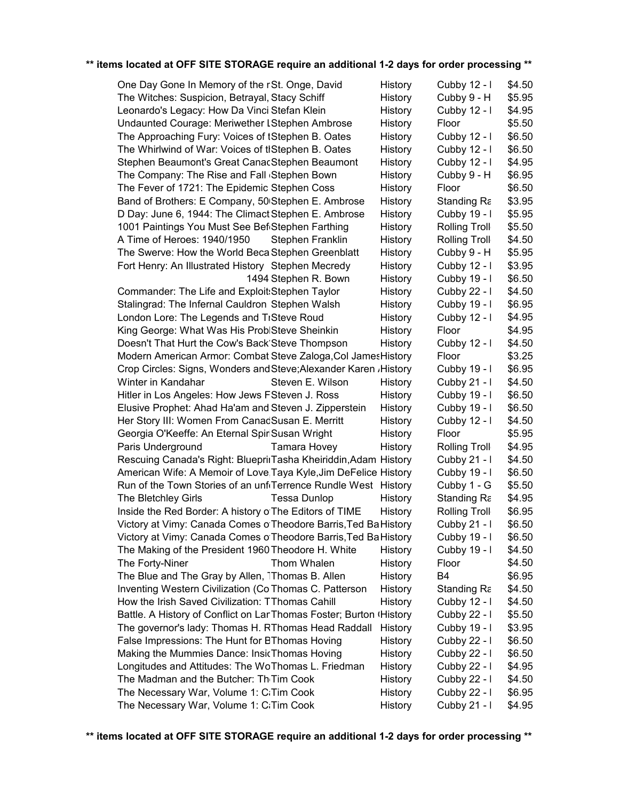| One Day Gone In Memory of the rSt. Onge, David                     | History | Cubby 12 - I         | \$4.50 |
|--------------------------------------------------------------------|---------|----------------------|--------|
| The Witches: Suspicion, Betrayal, Stacy Schiff                     | History | Cubby 9 - H          | \$5.95 |
| Leonardo's Legacy: How Da Vinci Stefan Klein                       | History | Cubby 12 - I         | \$4.95 |
| Undaunted Courage: Meriwether LStephen Ambrose                     | History | Floor                | \$5.50 |
| The Approaching Fury: Voices of tStephen B. Oates                  | History | Cubby 12 - I         | \$6.50 |
| The Whirlwind of War: Voices of tIStephen B. Oates                 | History | Cubby 12 - I         | \$6.50 |
| Stephen Beaumont's Great CanacStephen Beaumont                     | History | Cubby 12 - I         | \$4.95 |
| The Company: The Rise and Fall Stephen Bown                        | History | Cubby 9 - H          | \$6.95 |
| The Fever of 1721: The Epidemic Stephen Coss                       | History | Floor                | \$6.50 |
| Band of Brothers: E Company, 50 Stephen E. Ambrose                 | History | Standing Ra          | \$3.95 |
| D Day: June 6, 1944: The Climact Stephen E. Ambrose                | History | Cubby 19 - I         | \$5.95 |
| 1001 Paintings You Must See Bef Stephen Farthing                   | History | <b>Rolling Troll</b> | \$5.50 |
| A Time of Heroes: 1940/1950<br>Stephen Franklin                    | History | <b>Rolling Troll</b> | \$4.50 |
| The Swerve: How the World Beca Stephen Greenblatt                  | History | Cubby 9 - H          | \$5.95 |
| Fort Henry: An Illustrated History Stephen Mecredy                 | History | Cubby 12 - I         | \$3.95 |
| 1494 Stephen R. Bown                                               | History | Cubby 19 - I         | \$6.50 |
| Commander: The Life and Exploit: Stephen Taylor                    | History | Cubby 22 - I         | \$4.50 |
| Stalingrad: The Infernal Cauldron Stephen Walsh                    | History | Cubby 19 - I         | \$6.95 |
| London Lore: The Legends and TrSteve Roud                          | History | Cubby 12 - I         | \$4.95 |
| King George: What Was His ProblSteve Sheinkin                      | History | Floor                | \$4.95 |
| Doesn't That Hurt the Cow's Back Steve Thompson                    | History | Cubby 12 - I         | \$4.50 |
| Modern American Armor: Combat Steve Zaloga, Col James History      |         | Floor                | \$3.25 |
| Crop Circles: Signs, Wonders and Steve; Alexander Karen , History  |         | Cubby 19 - I         | \$6.95 |
| Winter in Kandahar<br>Steven E. Wilson                             | History | Cubby 21 - I         | \$4.50 |
| Hitler in Los Angeles: How Jews FSteven J. Ross                    | History | Cubby 19 - I         | \$6.50 |
| Elusive Prophet: Ahad Ha'am and Steven J. Zipperstein              | History | Cubby 19 - I         | \$6.50 |
| Her Story III: Women From CanadSusan E. Merritt                    | History | Cubby 12 - I         | \$4.50 |
| Georgia O'Keeffe: An Eternal SpiriSusan Wright                     | History | Floor                | \$5.95 |
| Paris Underground<br>Tamara Hovey                                  | History | <b>Rolling Troll</b> | \$4.95 |
| Rescuing Canada's Right: BlueprinTasha Kheiriddin, Adam History    |         | Cubby 21 - I         | \$4.50 |
| American Wife: A Memoir of Love Taya Kyle, Jim DeFelice History    |         | Cubby 19 - I         | \$6.50 |
| Run of the Town Stories of an unf Terrence Rundle West History     |         | Cubby 1 - G          | \$5.50 |
| The Bletchley Girls<br><b>Tessa Dunlop</b>                         | History | Standing Ra          | \$4.95 |
| Inside the Red Border: A history o The Editors of TIME             | History | Rolling Troll        | \$6.95 |
| Victory at Vimy: Canada Comes o Theodore Barris, Ted Ba History    |         | Cubby 21 - I         | \$6.50 |
| Victory at Vimy: Canada Comes o Theodore Barris, Ted Ba History    |         | Cubby 19 - I         | \$6.50 |
| The Making of the President 1960 Theodore H. White                 | History | Cubby 19 - I         | \$4.50 |
| The Forty-Niner<br>Thom Whalen                                     | History | Floor                | \$4.50 |
| The Blue and The Gray by Allen, 1Thomas B. Allen                   | History | B <sub>4</sub>       | \$6.95 |
| Inventing Western Civilization (ColThomas C. Patterson             | History | Standing Ra          | \$4.50 |
| How the Irish Saved Civilization: TThomas Cahill                   | History | Cubby 12 - I         | \$4.50 |
| Battle. A History of Conflict on LanThomas Foster; Burton (History |         | Cubby 22 - I         | \$5.50 |
| The governor's lady: Thomas H. RThomas Head Raddall                | History | Cubby 19 - I         | \$3.95 |
| False Impressions: The Hunt for BThomas Hoving                     | History | Cubby 22 - I         | \$6.50 |
| Making the Mummies Dance: InsicThomas Hoving                       | History | Cubby 22 - I         | \$6.50 |
| Longitudes and Attitudes: The WoThomas L. Friedman                 | History | Cubby 22 - I         | \$4.95 |
| The Madman and the Butcher: Th <sub>'</sub> Tim Cook               | History | Cubby 22 - I         | \$4.50 |
| The Necessary War, Volume 1: C: Tim Cook                           | History | Cubby 22 - I         | \$6.95 |
| The Necessary War, Volume 1: CiTim Cook                            | History | Cubby 21 - I         | \$4.95 |
|                                                                    |         |                      |        |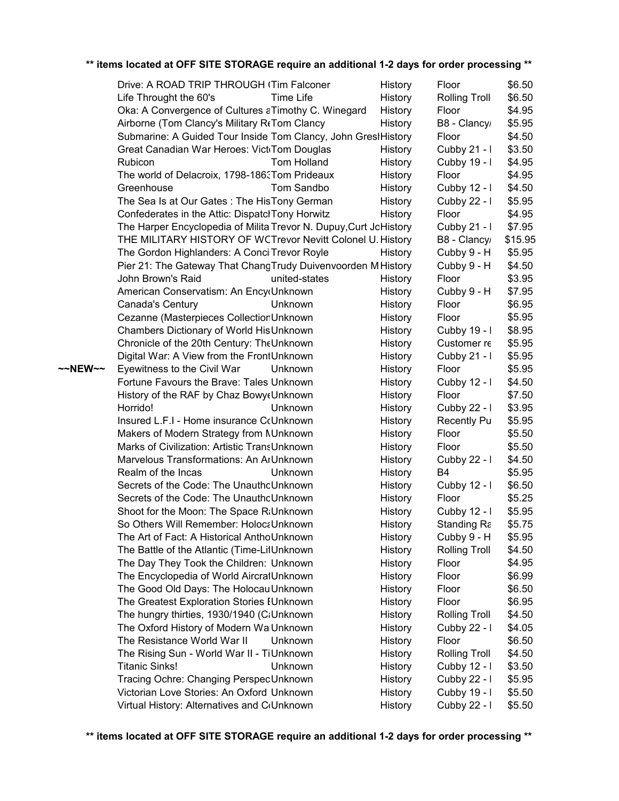|         | Drive: A ROAD TRIP THROUGH (Tim Falconer                                                  | History            | Floor                               | \$6.50           |
|---------|-------------------------------------------------------------------------------------------|--------------------|-------------------------------------|------------------|
|         | Life Throught the 60's<br>Time Life                                                       | History            | Rolling Troll                       | \$6.50           |
|         | Oka: A Convergence of Cultures aTimothy C. Winegard                                       | History            | Floor                               | \$4.95           |
|         | Airborne (Tom Clancy's Military RfTom Clancy                                              | History            | B8 - Clancy                         | \$5.95           |
|         | Submarine: A Guided Tour Inside Tom Clancy, John GrestHistory                             |                    | Floor                               | \$4.50           |
|         | Great Canadian War Heroes: Vict Tom Douglas                                               | History            | Cubby 21 - I                        | \$3.50           |
|         | Tom Holland<br>Rubicon                                                                    | History            | Cubby 19 - I                        | \$4.95           |
|         | The world of Delacroix, 1798-1863Tom Prideaux                                             | History            | Floor                               | \$4.95           |
|         | Greenhouse<br>Tom Sandbo                                                                  | History            | Cubby 12 - I                        | \$4.50           |
|         | The Sea Is at Our Gates: The HisTony German                                               | History            | Cubby 22 - I                        | \$5.95           |
|         | Confederates in the Attic: DispatclTony Horwitz                                           | History            | Floor                               | \$4.95           |
|         | The Harper Encyclopedia of Milita Trevor N. Dupuy, Curt JoHistory                         |                    | Cubby 21 - I                        | \$7.95           |
|         | THE MILITARY HISTORY OF WCTrevor Nevitt Colonel U. History                                |                    | B8 - Clancy                         | \$15.95          |
|         | The Gordon Highlanders: A Conci Trevor Royle                                              | History            | Cubby 9 - H                         | \$5.95           |
|         | Pier 21: The Gateway That ChangTrudy Duivenvoorden M History                              |                    | Cubby 9 - H                         | \$4.50           |
|         | John Brown's Raid<br>united-states                                                        | History            | Floor                               | \$3.95           |
|         | American Conservatism: An EncycUnknown                                                    | History            | Cubby 9 - H                         | \$7.95           |
|         | Canada's Century<br>Unknown                                                               | History            | Floor                               | \$6.95           |
|         | Cezanne (Masterpieces CollectionUnknown                                                   | History            | Floor                               | \$5.95           |
|         | Chambers Dictionary of World His Unknown                                                  | History            | Cubby 19 - I                        | \$8.95           |
|         | Chronicle of the 20th Century: TheUnknown                                                 | History            | Customer re                         | \$5.95           |
|         | Digital War: A View from the FrontUnknown                                                 | History            | Cubby 21 - I                        | \$5.95           |
| ~~NEW~~ | Eyewitness to the Civil War<br><b>Unknown</b>                                             | History            | Floor                               | \$5.95           |
|         | Fortune Favours the Brave: Tales Unknown                                                  | History            | Cubby 12 - I                        | \$4.50           |
|         | History of the RAF by Chaz Bowy Unknown                                                   | History            | Floor                               | \$7.50           |
|         | Horrido!<br><b>Unknown</b>                                                                | History            | Cubby 22 - I                        | \$3.95           |
|         | Insured L.F.I - Home insurance CcUnknown                                                  | History            | <b>Recently Pu</b>                  | \$5.95           |
|         | Makers of Modern Strategy from NUnknown                                                   | History            | Floor                               | \$5.50           |
|         | Marks of Civilization: Artistic TransUnknown                                              | History            | Floor                               | \$5.50           |
|         | Marvelous Transformations: An ArUnknown                                                   | History            | Cubby 22 - I                        | \$4.50           |
|         | Realm of the Incas<br>Unknown                                                             | History            | B4                                  | \$5.95           |
|         | Secrets of the Code: The UnauthoUnknown                                                   | History            | Cubby 12 - I                        | \$6.50           |
|         | Secrets of the Code: The UnauthoUnknown                                                   | History            | Floor                               | \$5.25           |
|         | Shoot for the Moon: The Space R:Unknown                                                   | History            | Cubby 12 - I                        | \$5.95           |
|         | So Others Will Remember: HolocaUnknown                                                    | History            | Standing Ra                         | \$5.75           |
|         | The Art of Fact: A Historical AnthoUnknown<br>The Battle of the Atlantic (Time-LifUnknown | History            | Cubby 9 - H<br><b>Rolling Troll</b> | \$5.95<br>\$4.50 |
|         | The Day They Took the Children: Unknown                                                   | History<br>History | Floor                               | \$4.95           |
|         | The Encyclopedia of World AircrafUnknown                                                  | History            | Floor                               | \$6.99           |
|         | The Good Old Days: The Holocau Unknown                                                    | History            | Floor                               | \$6.50           |
|         | The Greatest Exploration Stories IUnknown                                                 | History            | Floor                               | \$6.95           |
|         | The hungry thirties, 1930/1940 (C:Unknown                                                 | History            | <b>Rolling Troll</b>                | \$4.50           |
|         | The Oxford History of Modern WalUnknown                                                   | History            | Cubby 22 - I                        | \$4.05           |
|         | The Resistance World War II<br>Unknown                                                    | History            | Floor                               | \$6.50           |
|         | The Rising Sun - World War II - TiUnknown                                                 | History            | <b>Rolling Troll</b>                | \$4.50           |
|         | <b>Titanic Sinks!</b><br>Unknown                                                          | History            | Cubby 12 - I                        | \$3.50           |
|         | Tracing Ochre: Changing PerspecUnknown                                                    | History            | Cubby 22 - I                        | \$5.95           |
|         | Victorian Love Stories: An Oxford Unknown                                                 | History            | Cubby 19 - I                        | \$5.50           |
|         | Virtual History: Alternatives and C(Unknown                                               | History            | Cubby 22 - I                        | \$5.50           |
|         |                                                                                           |                    |                                     |                  |